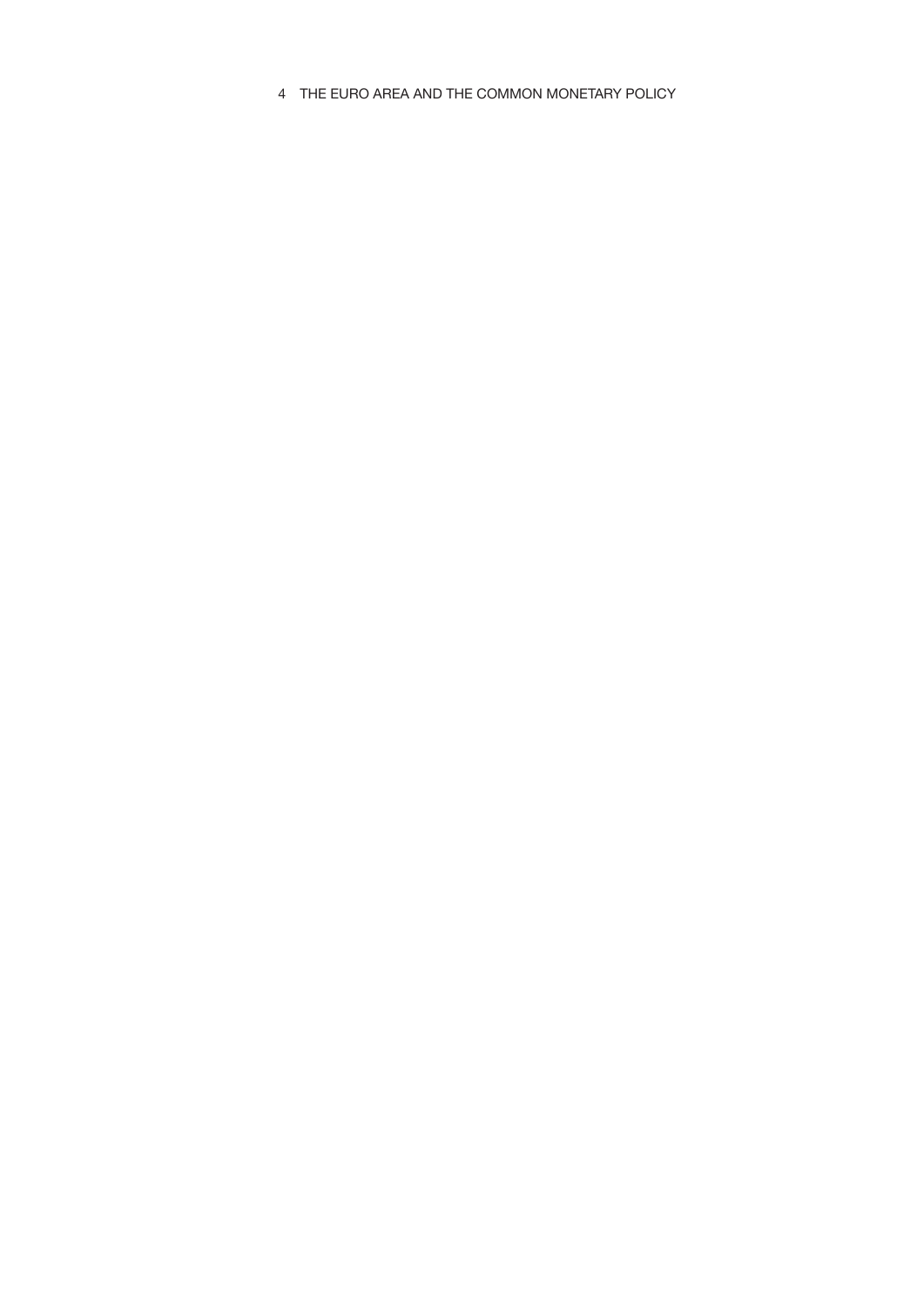4 THE EURO AREA AND THE COMMON MONETARY POLICY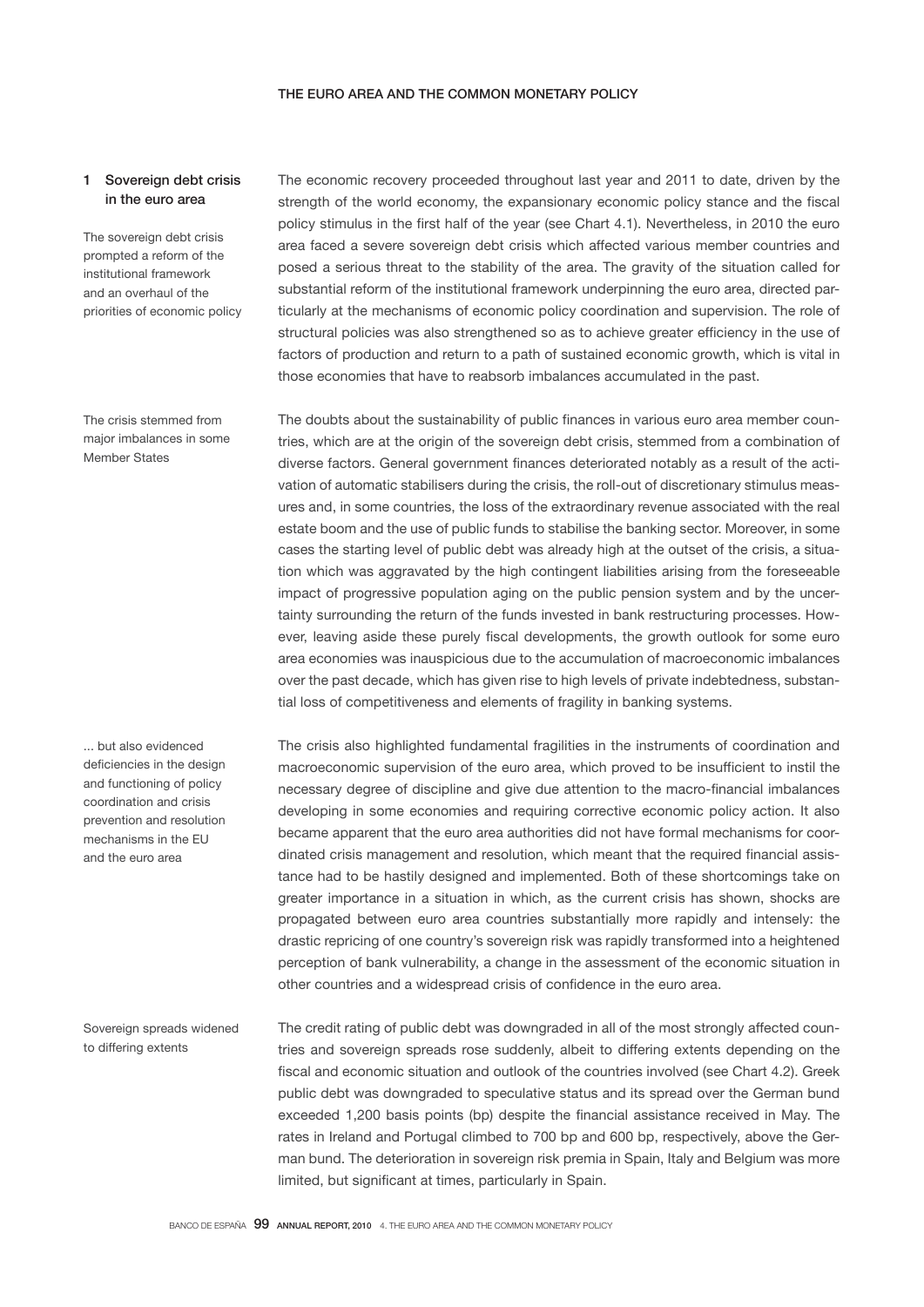## 1 Sovereign debt crisis in the euro area

The sovereign debt crisis prompted a reform of the institutional framework and an overhaul of the priorities of economic policy

The crisis stemmed from major imbalances in some Member States

... but also evidenced deficiencies in the design and functioning of policy coordination and crisis prevention and resolution mechanisms in the EU and the euro area

Sovereign spreads widened to differing extents

The economic recovery proceeded throughout last year and 2011 to date, driven by the strength of the world economy, the expansionary economic policy stance and the fiscal policy stimulus in the first half of the year (see Chart 4.1). Nevertheless, in 2010 the euro area faced a severe sovereign debt crisis which affected various member countries and posed a serious threat to the stability of the area. The gravity of the situation called for substantial reform of the institutional framework underpinning the euro area, directed particularly at the mechanisms of economic policy coordination and supervision. The role of structural policies was also strengthened so as to achieve greater efficiency in the use of factors of production and return to a path of sustained economic growth, which is vital in those economies that have to reabsorb imbalances accumulated in the past.

The doubts about the sustainability of public finances in various euro area member countries, which are at the origin of the sovereign debt crisis, stemmed from a combination of diverse factors. General government finances deteriorated notably as a result of the activation of automatic stabilisers during the crisis, the roll-out of discretionary stimulus measures and, in some countries, the loss of the extraordinary revenue associated with the real estate boom and the use of public funds to stabilise the banking sector. Moreover, in some cases the starting level of public debt was already high at the outset of the crisis, a situation which was aggravated by the high contingent liabilities arising from the foreseeable impact of progressive population aging on the public pension system and by the uncertainty surrounding the return of the funds invested in bank restructuring processes. However, leaving aside these purely fiscal developments, the growth outlook for some euro area economies was inauspicious due to the accumulation of macroeconomic imbalances over the past decade, which has given rise to high levels of private indebtedness, substantial loss of competitiveness and elements of fragility in banking systems.

The crisis also highlighted fundamental fragilities in the instruments of coordination and macroeconomic supervision of the euro area, which proved to be insufficient to instil the necessary degree of discipline and give due attention to the macro-financial imbalances developing in some economies and requiring corrective economic policy action. It also became apparent that the euro area authorities did not have formal mechanisms for coordinated crisis management and resolution, which meant that the required financial assistance had to be hastily designed and implemented. Both of these shortcomings take on greater importance in a situation in which, as the current crisis has shown, shocks are propagated between euro area countries substantially more rapidly and intensely: the drastic repricing of one country's sovereign risk was rapidly transformed into a heightened perception of bank vulnerability, a change in the assessment of the economic situation in other countries and a widespread crisis of confidence in the euro area.

The credit rating of public debt was downgraded in all of the most strongly affected countries and sovereign spreads rose suddenly, albeit to differing extents depending on the fiscal and economic situation and outlook of the countries involved (see Chart 4.2). Greek public debt was downgraded to speculative status and its spread over the German bund exceeded 1,200 basis points (bp) despite the financial assistance received in May. The rates in Ireland and Portugal climbed to 700 bp and 600 bp, respectively, above the German bund. The deterioration in sovereign risk premia in Spain, Italy and Belgium was more limited, but significant at times, particularly in Spain.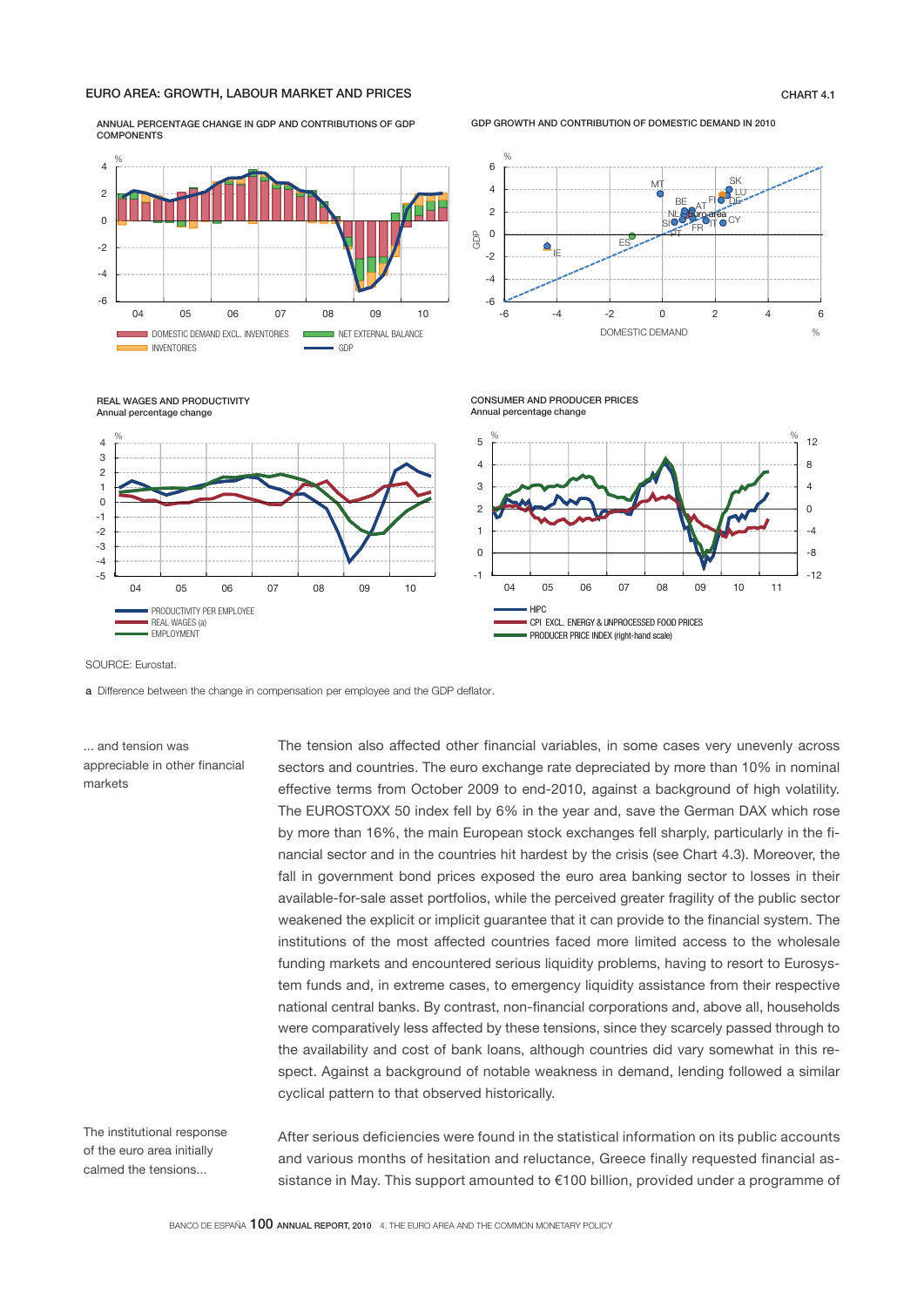### EURO AREA: GROWTH, LABOUR MARKET AND PRICES CHART 4.1

ANNUAL PERCENTAGE CHANGE IN GDP AND CONTRIBUTIONS OF GDP **COMPONENTS** 



GDP GROWTH AND CONTRIBUTION OF DOMESTIC DEMAND IN 2010



REAL WAGES AND PRODUCTIVITY Annual percentage change



SOURCE: Eurostat.

a Difference between the change in compensation per employee and the GDP deflator.

... and tension was appreciable in other financial markets

The tension also affected other financial variables, in some cases very unevenly across sectors and countries. The euro exchange rate depreciated by more than 10% in nominal effective terms from October 2009 to end-2010, against a background of high volatility. The EUROSTOXX 50 index fell by 6% in the year and, save the German DAX which rose by more than 16%, the main European stock exchanges fell sharply, particularly in the financial sector and in the countries hit hardest by the crisis (see Chart 4.3). Moreover, the fall in government bond prices exposed the euro area banking sector to losses in their available-for-sale asset portfolios, while the perceived greater fragility of the public sector weakened the explicit or implicit guarantee that it can provide to the financial system. The institutions of the most affected countries faced more limited access to the wholesale funding markets and encountered serious liquidity problems, having to resort to Eurosystem funds and, in extreme cases, to emergency liquidity assistance from their respective national central banks. By contrast, non-financial corporations and, above all, households were comparatively less affected by these tensions, since they scarcely passed through to the availability and cost of bank loans, although countries did vary somewhat in this respect. Against a background of notable weakness in demand, lending followed a similar cyclical pattern to that observed historically.

CONSUMER AND PRODUCER PRICES

The institutional response of the euro area initially calmed the tensions...

After serious deficiencies were found in the statistical information on its public accounts and various months of hesitation and reluctance, Greece finally requested financial assistance in May. This support amounted to €100 billion, provided under a programme of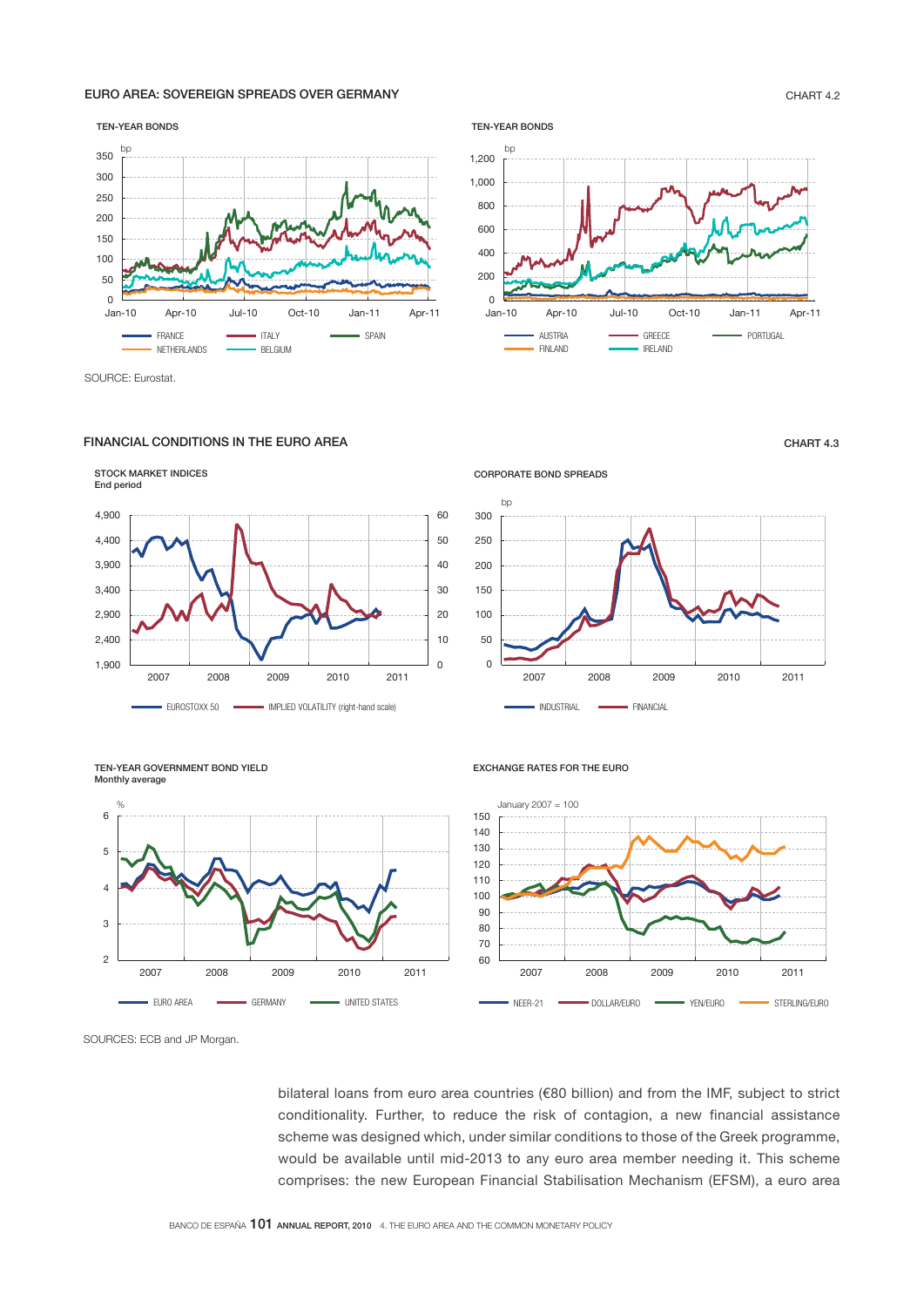### EURO AREA: SOVEREIGN SPREADS OVER GERMANY **CHART 4.2**

### TEN-YEAR BONDS



SOURCE: Eurostat.

### FINANCIAL CONDITIONS IN THE EURO AREA **CHART 4.3**





CORPORATE BOND SPREADS



TEN-YEAR GOVERNMENT BOND YIELD Monthly average



EXCHANGE RATES FOR THE EURO



SOURCES: ECB and JP Morgan.

bilateral loans from euro area countries (€80 billion) and from the IMF, subject to strict conditionality. Further, to reduce the risk of contagion, a new financial assistance scheme was designed which, under similar conditions to those of the Greek programme, would be available until mid-2013 to any euro area member needing it. This scheme comprises: the new European Financial Stabilisation Mechanism (EFSM), a euro area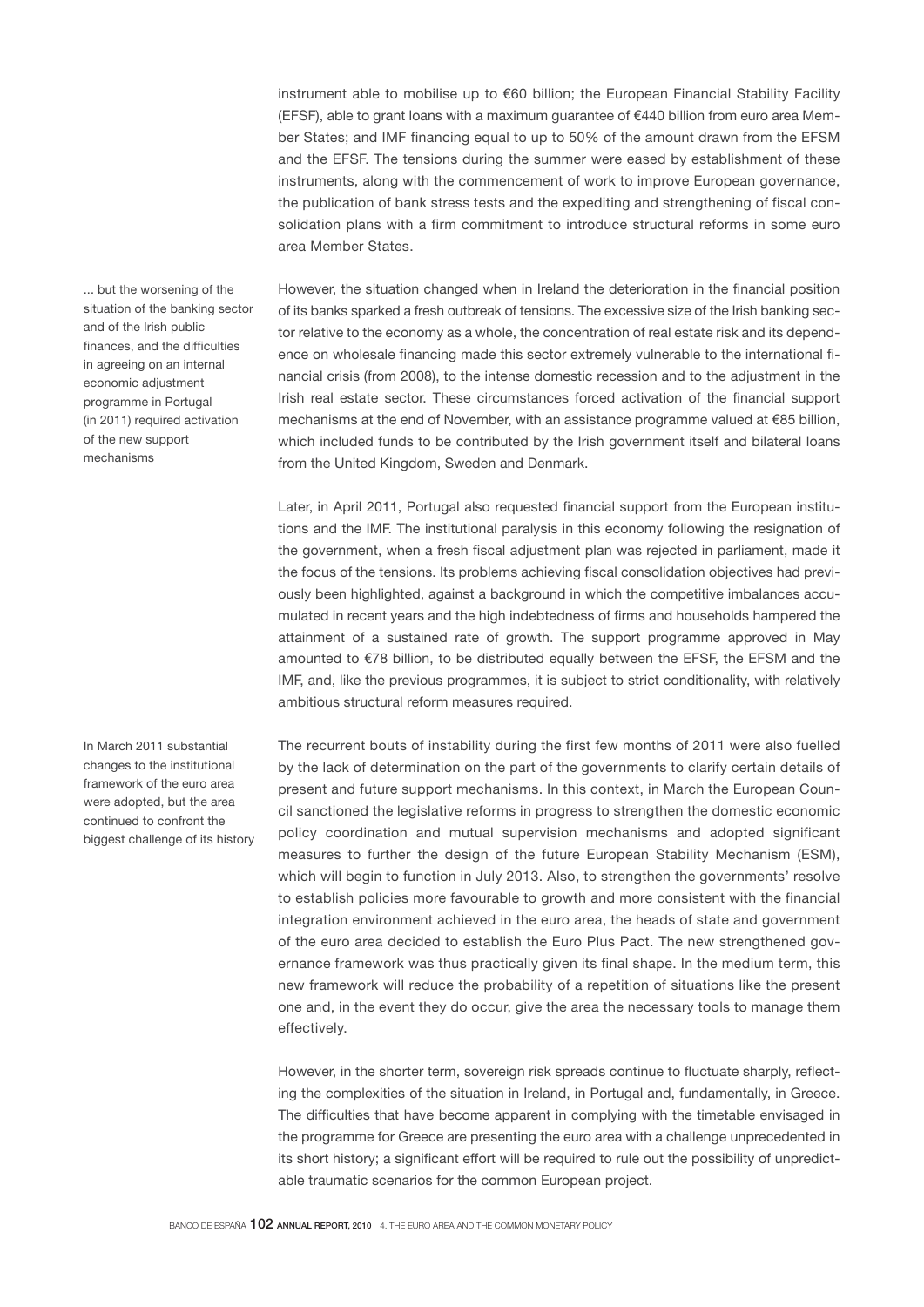instrument able to mobilise up to €60 billion; the European Financial Stability Facility (EFSF), able to grant loans with a maximum guarantee of €440 billion from euro area Member States; and IMF financing equal to up to 50% of the amount drawn from the EFSM and the EFSF. The tensions during the summer were eased by establishment of these instruments, along with the commencement of work to improve European governance, the publication of bank stress tests and the expediting and strengthening of fiscal consolidation plans with a firm commitment to introduce structural reforms in some euro area Member States.

... but the worsening of the situation of the banking sector and of the Irish public finances, and the difficulties in agreeing on an internal economic adjustment programme in Portugal (in 2011) required activation of the new support mechanisms

In March 2011 substantial changes to the institutional framework of the euro area were adopted, but the area continued to confront the biggest challenge of its history However, the situation changed when in Ireland the deterioration in the financial position of its banks sparked a fresh outbreak of tensions. The excessive size of the Irish banking sector relative to the economy as a whole, the concentration of real estate risk and its dependence on wholesale financing made this sector extremely vulnerable to the international financial crisis (from 2008), to the intense domestic recession and to the adjustment in the Irish real estate sector. These circumstances forced activation of the financial support mechanisms at the end of November, with an assistance programme valued at €85 billion, which included funds to be contributed by the Irish government itself and bilateral loans from the United Kingdom, Sweden and Denmark.

Later, in April 2011, Portugal also requested financial support from the European institutions and the IMF. The institutional paralysis in this economy following the resignation of the government, when a fresh fiscal adjustment plan was rejected in parliament, made it the focus of the tensions. Its problems achieving fiscal consolidation objectives had previously been highlighted, against a background in which the competitive imbalances accumulated in recent years and the high indebtedness of firms and households hampered the attainment of a sustained rate of growth. The support programme approved in May amounted to €78 billion, to be distributed equally between the EFSF, the EFSM and the IMF, and, like the previous programmes, it is subject to strict conditionality, with relatively ambitious structural reform measures required.

The recurrent bouts of instability during the first few months of 2011 were also fuelled by the lack of determination on the part of the governments to clarify certain details of present and future support mechanisms. In this context, in March the European Council sanctioned the legislative reforms in progress to strengthen the domestic economic policy coordination and mutual supervision mechanisms and adopted significant measures to further the design of the future European Stability Mechanism (ESM), which will begin to function in July 2013. Also, to strengthen the governments' resolve to establish policies more favourable to growth and more consistent with the financial integration environment achieved in the euro area, the heads of state and government of the euro area decided to establish the Euro Plus Pact. The new strengthened governance framework was thus practically given its final shape. In the medium term, this new framework will reduce the probability of a repetition of situations like the present one and, in the event they do occur, give the area the necessary tools to manage them effectively.

However, in the shorter term, sovereign risk spreads continue to fluctuate sharply, reflecting the complexities of the situation in Ireland, in Portugal and, fundamentally, in Greece. The difficulties that have become apparent in complying with the timetable envisaged in the programme for Greece are presenting the euro area with a challenge unprecedented in its short history; a significant effort will be required to rule out the possibility of unpredictable traumatic scenarios for the common European project.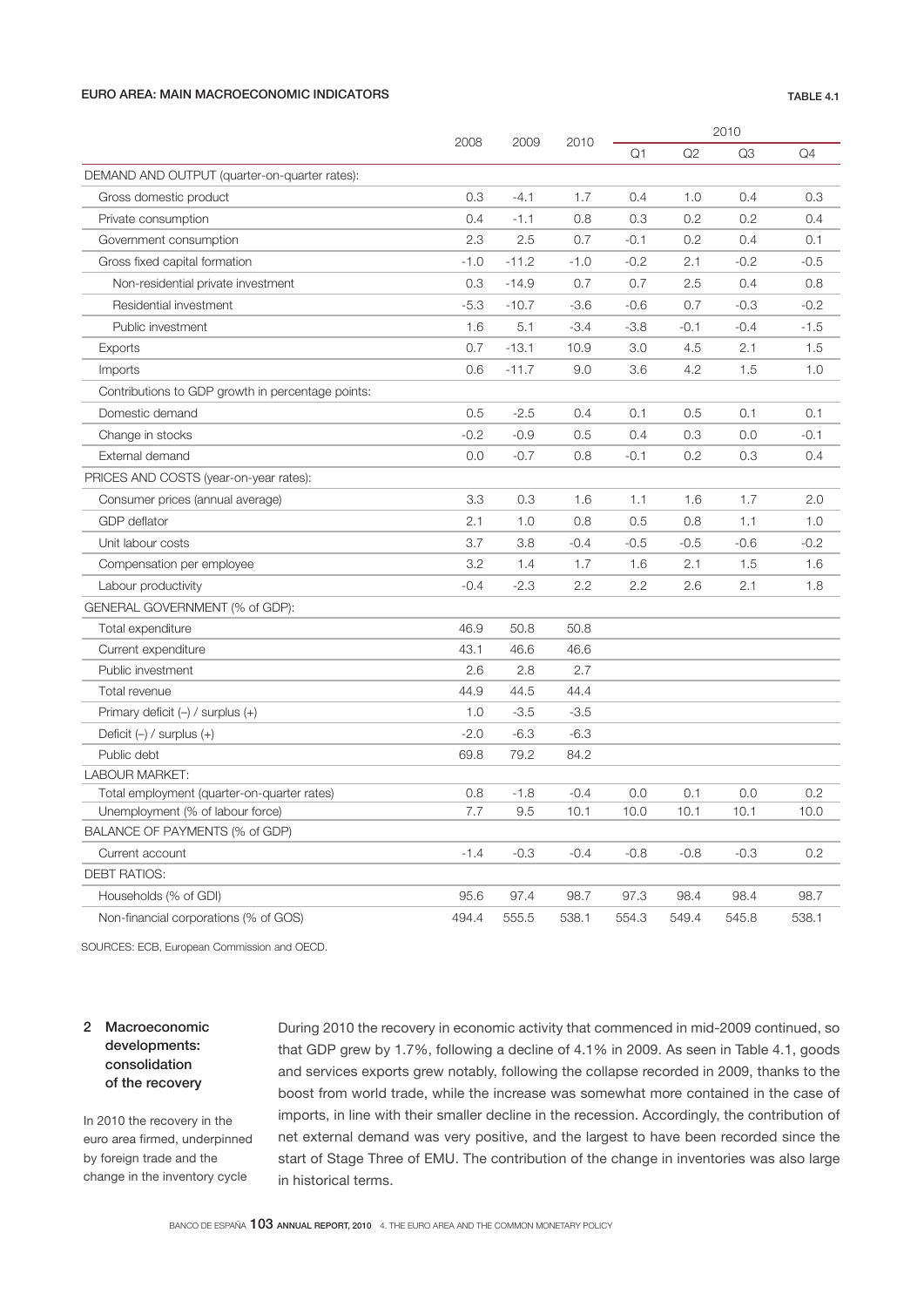### EURO AREA: MAIN MACROECONOMIC INDICATORS **TABLE 4.1**

|                                                   | 2008   |         |        | 2010   |        |        |        |  |  |
|---------------------------------------------------|--------|---------|--------|--------|--------|--------|--------|--|--|
|                                                   |        | 2009    | 2010   | Q1     | Q2     | Q3     | Q4     |  |  |
| DEMAND AND OUTPUT (quarter-on-quarter rates):     |        |         |        |        |        |        |        |  |  |
| Gross domestic product                            | 0.3    | -4.1    | 1.7    | 0.4    | 1.0    | 0.4    | 0.3    |  |  |
| Private consumption                               | 0.4    | $-1.1$  | 0.8    | 0.3    | 0.2    | 0.2    | 0.4    |  |  |
| Government consumption                            | 2.3    | 2.5     | 0.7    | $-0.1$ | 0.2    | 0.4    | 0.1    |  |  |
| Gross fixed capital formation                     | $-1.0$ | $-11.2$ | $-1.0$ | $-0.2$ | 2.1    | $-0.2$ | $-0.5$ |  |  |
| Non-residential private investment                | 0.3    | $-14.9$ | 0.7    | 0.7    | 2.5    | 0.4    | 0.8    |  |  |
| Residential investment                            | $-5.3$ | $-10.7$ | $-3.6$ | $-0.6$ | 0.7    | $-0.3$ | $-0.2$ |  |  |
| Public investment                                 | 1.6    | 5.1     | $-3.4$ | $-3.8$ | $-0.1$ | $-0.4$ | $-1.5$ |  |  |
| Exports                                           | 0.7    | $-13.1$ | 10.9   | 3.0    | 4.5    | 2.1    | 1.5    |  |  |
| Imports                                           | 0.6    | $-11.7$ | 9.0    | 3.6    | 4.2    | 1.5    | 1.0    |  |  |
| Contributions to GDP growth in percentage points: |        |         |        |        |        |        |        |  |  |
| Domestic demand                                   | 0.5    | $-2.5$  | 0.4    | 0.1    | 0.5    | 0.1    | 0.1    |  |  |
| Change in stocks                                  | $-0.2$ | $-0.9$  | 0.5    | 0.4    | 0.3    | 0.0    | -0.1   |  |  |
| External demand                                   | 0.0    | $-0.7$  | 0.8    | $-0.1$ | 0.2    | 0.3    | 0.4    |  |  |
| PRICES AND COSTS (year-on-year rates):            |        |         |        |        |        |        |        |  |  |
| Consumer prices (annual average)                  | 3.3    | 0.3     | 1.6    | 1.1    | 1.6    | 1.7    | 2.0    |  |  |
| <b>GDP</b> deflator                               | 2.1    | 1.0     | 0.8    | 0.5    | 0.8    | 1.1    | 1.0    |  |  |
| Unit labour costs                                 | 3.7    | 3.8     | $-0.4$ | $-0.5$ | $-0.5$ | $-0.6$ | -0.2   |  |  |
| Compensation per employee                         | 3.2    | 1.4     | 1.7    | 1.6    | 2.1    | 1.5    | 1.6    |  |  |
| Labour productivity                               | $-0.4$ | $-2.3$  | 2.2    | 2.2    | 2.6    | 2.1    | 1.8    |  |  |
| GENERAL GOVERNMENT (% of GDP):                    |        |         |        |        |        |        |        |  |  |
| Total expenditure                                 | 46.9   | 50.8    | 50.8   |        |        |        |        |  |  |
| Current expenditure                               | 43.1   | 46.6    | 46.6   |        |        |        |        |  |  |
| Public investment                                 | 2.6    | 2.8     | 2.7    |        |        |        |        |  |  |
| Total revenue                                     | 44.9   | 44.5    | 44.4   |        |        |        |        |  |  |
| Primary deficit $(-)$ / surplus $(+)$             | 1.0    | $-3.5$  | $-3.5$ |        |        |        |        |  |  |
| Deficit $(-)$ / surplus $(+)$                     | $-2.0$ | $-6.3$  | $-6.3$ |        |        |        |        |  |  |
| Public debt                                       | 69.8   | 79.2    | 84.2   |        |        |        |        |  |  |
| <b>LABOUR MARKET:</b>                             |        |         |        |        |        |        |        |  |  |
| Total employment (quarter-on-quarter rates)       | 0.8    | $-1.8$  | $-0.4$ | 0.0    | 0.1    | 0.0    | 0.2    |  |  |
| Unemployment (% of labour force)                  | 7.7    | 9.5     | 10.1   | 10.0   | 10.1   | 10.1   | 10.0   |  |  |
| BALANCE OF PAYMENTS (% of GDP)                    |        |         |        |        |        |        |        |  |  |
| Current account                                   | $-1.4$ | $-0.3$  | $-0.4$ | $-0.8$ | $-0.8$ | $-0.3$ | 0.2    |  |  |
| DEBT RATIOS:                                      |        |         |        |        |        |        |        |  |  |
| Households (% of GDI)                             | 95.6   | 97.4    | 98.7   | 97.3   | 98.4   | 98.4   | 98.7   |  |  |
| Non-financial corporations (% of GOS)             | 494.4  | 555.5   | 538.1  | 554.3  | 549.4  | 545.8  | 538.1  |  |  |

SOURCES: ECB, European Commission and OECD.

## 2 Macroeconomic developments: consolidation of the recovery

In 2010 the recovery in the euro area firmed, underpinned by foreign trade and the change in the inventory cycle

During 2010 the recovery in economic activity that commenced in mid-2009 continued, so that GDP grew by 1.7%, following a decline of 4.1% in 2009. As seen in Table 4.1, goods and services exports grew notably, following the collapse recorded in 2009, thanks to the boost from world trade, while the increase was somewhat more contained in the case of imports, in line with their smaller decline in the recession. Accordingly, the contribution of net external demand was very positive, and the largest to have been recorded since the start of Stage Three of EMU. The contribution of the change in inventories was also large in historical terms.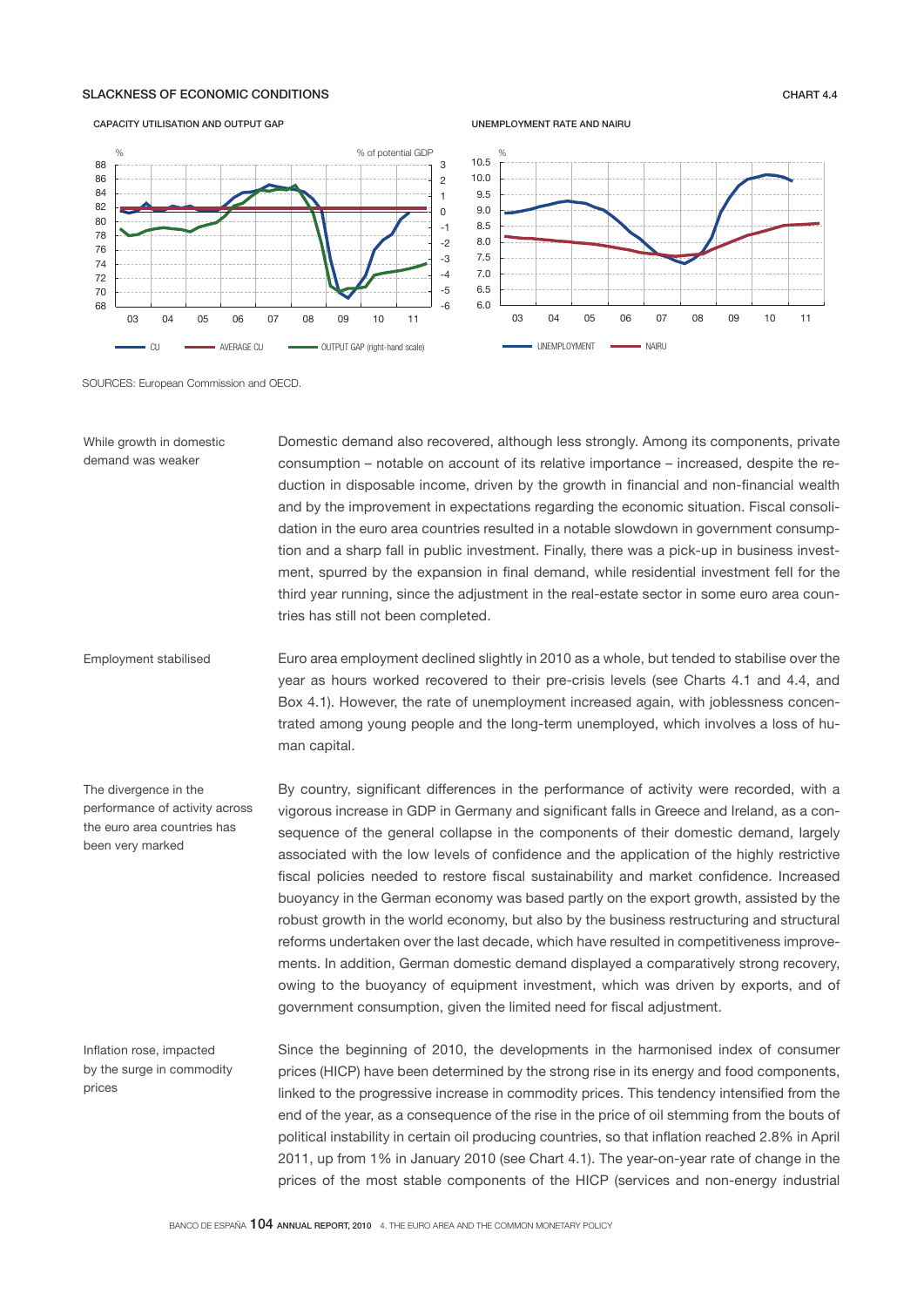### SLACKNESS OF ECONOMIC CONDITIONS CHART 4.4

CAPACITY UTILISATION AND OUTPUT GAP

#### -6 -5 -4 -3 -2 -1  $\Omega$ 1 2 3 68 70 72 74 76 78 80 82 84 86 88 03 04 05 06 07 08 09 10 11 CU **AVERAGE CU CU** OUTPUT GAP (right-hand scale) % % of potential GDP



UNEMPLOYMENT RATE AND NAIRU

SOURCES: European Commission and OECD.

Domestic demand also recovered, although less strongly. Among its components, private consumption – notable on account of its relative importance – increased, despite the reduction in disposable income, driven by the growth in financial and non-financial wealth and by the improvement in expectations regarding the economic situation. Fiscal consolidation in the euro area countries resulted in a notable slowdown in government consumption and a sharp fall in public investment. Finally, there was a pick-up in business investment, spurred by the expansion in final demand, while residential investment fell for the third year running, since the adjustment in the real-estate sector in some euro area countries has still not been completed. While growth in domestic demand was weaker

Euro area employment declined slightly in 2010 as a whole, but tended to stabilise over the year as hours worked recovered to their pre-crisis levels (see Charts 4.1 and 4.4, and Box 4.1). However, the rate of unemployment increased again, with joblessness concentrated among young people and the long-term unemployed, which involves a loss of human capital. Employment stabilised

By country, significant differences in the performance of activity were recorded, with a vigorous increase in GDP in Germany and significant falls in Greece and Ireland, as a consequence of the general collapse in the components of their domestic demand, largely associated with the low levels of confidence and the application of the highly restrictive fiscal policies needed to restore fiscal sustainability and market confidence. Increased buoyancy in the German economy was based partly on the export growth, assisted by the robust growth in the world economy, but also by the business restructuring and structural reforms undertaken over the last decade, which have resulted in competitiveness improvements. In addition, German domestic demand displayed a comparatively strong recovery, owing to the buoyancy of equipment investment, which was driven by exports, and of government consumption, given the limited need for fiscal adjustment. The divergence in the performance of activity across the euro area countries has been very marked

Inflation rose, impacted by the surge in commodity prices

Since the beginning of 2010, the developments in the harmonised index of consumer prices (HICP) have been determined by the strong rise in its energy and food components, linked to the progressive increase in commodity prices. This tendency intensified from the end of the year, as a consequence of the rise in the price of oil stemming from the bouts of political instability in certain oil producing countries, so that inflation reached 2.8% in April 2011, up from 1% in January 2010 (see Chart 4.1). The year-on-year rate of change in the prices of the most stable components of the HICP (services and non-energy industrial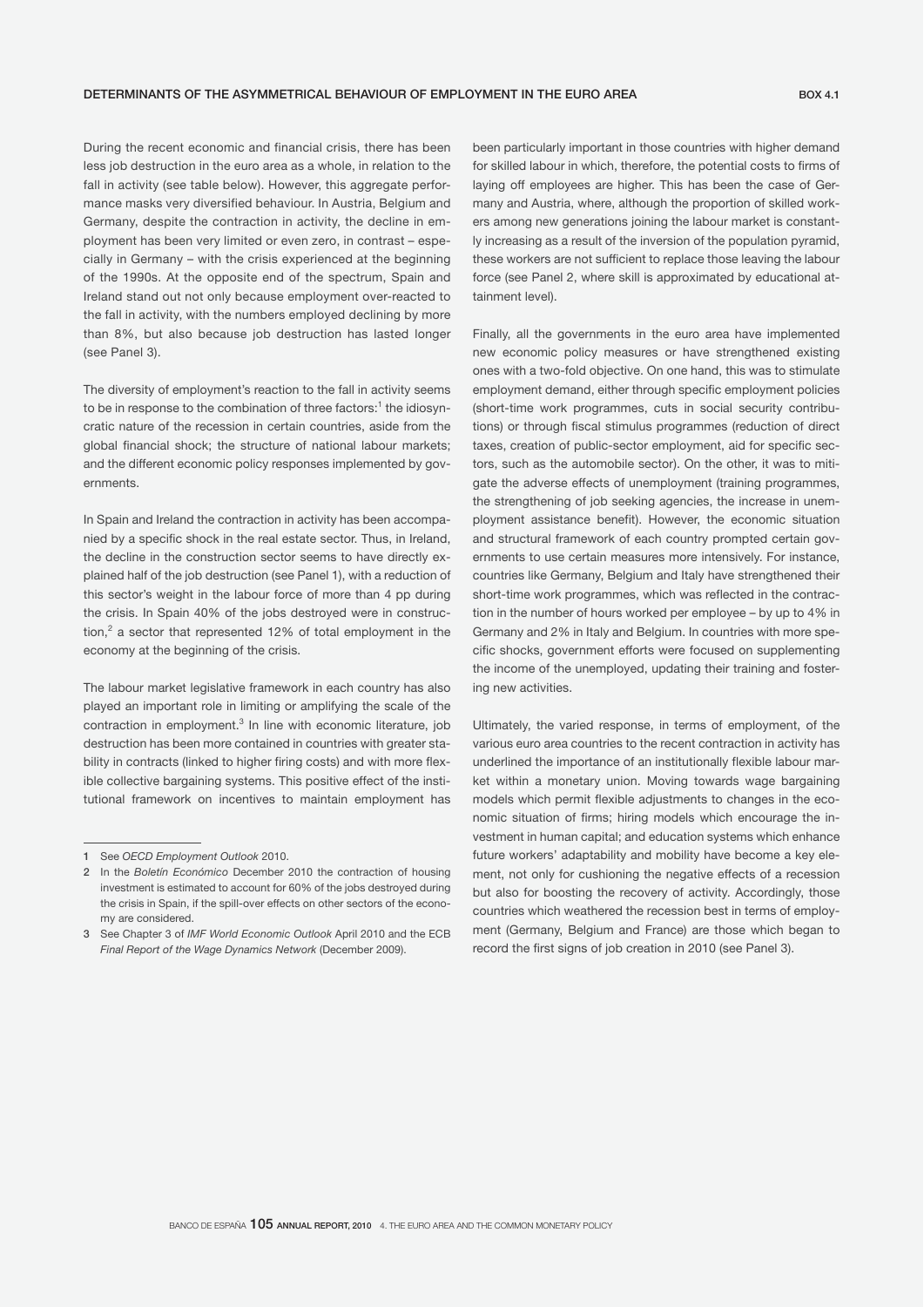During the recent economic and financial crisis, there has been less job destruction in the euro area as a whole, in relation to the fall in activity (see table below). However, this aggregate performance masks very diversified behaviour. In Austria, Belgium and Germany, despite the contraction in activity, the decline in employment has been very limited or even zero, in contrast – especially in Germany – with the crisis experienced at the beginning of the 1990s. At the opposite end of the spectrum, Spain and Ireland stand out not only because employment over-reacted to the fall in activity, with the numbers employed declining by more than 8%, but also because job destruction has lasted longer (see Panel 3).

The diversity of employment's reaction to the fall in activity seems to be in response to the combination of three factors: $^{\rm 1}$  the idiosyncratic nature of the recession in certain countries, aside from the global financial shock; the structure of national labour markets; and the different economic policy responses implemented by governments.

In Spain and Ireland the contraction in activity has been accompanied by a specific shock in the real estate sector. Thus, in Ireland, the decline in the construction sector seems to have directly explained half of the job destruction (see Panel 1), with a reduction of this sector's weight in the labour force of more than 4 pp during the crisis. In Spain 40% of the jobs destroyed were in construction,<sup>2</sup> a sector that represented 12% of total employment in the economy at the beginning of the crisis.

The labour market legislative framework in each country has also played an important role in limiting or amplifying the scale of the contraction in employment.<sup>3</sup> In line with economic literature, job destruction has been more contained in countries with greater stability in contracts (linked to higher firing costs) and with more flexible collective bargaining systems. This positive effect of the institutional framework on incentives to maintain employment has

been particularly important in those countries with higher demand for skilled labour in which, therefore, the potential costs to firms of laying off employees are higher. This has been the case of Germany and Austria, where, although the proportion of skilled workers among new generations joining the labour market is constantly increasing as a result of the inversion of the population pyramid, these workers are not sufficient to replace those leaving the labour force (see Panel 2, where skill is approximated by educational attainment level).

Finally, all the governments in the euro area have implemented new economic policy measures or have strengthened existing ones with a two-fold objective. On one hand, this was to stimulate employment demand, either through specific employment policies (short-time work programmes, cuts in social security contributions) or through fiscal stimulus programmes (reduction of direct taxes, creation of public-sector employment, aid for specific sectors, such as the automobile sector). On the other, it was to mitigate the adverse effects of unemployment (training programmes, the strengthening of job seeking agencies, the increase in unemployment assistance benefit). However, the economic situation and structural framework of each country prompted certain governments to use certain measures more intensively. For instance, countries like Germany, Belgium and Italy have strengthened their short-time work programmes, which was reflected in the contraction in the number of hours worked per employee – by up to 4% in Germany and 2% in Italy and Belgium. In countries with more specific shocks, government efforts were focused on supplementing the income of the unemployed, updating their training and fostering new activities.

Ultimately, the varied response, in terms of employment, of the various euro area countries to the recent contraction in activity has underlined the importance of an institutionally flexible labour market within a monetary union. Moving towards wage bargaining models which permit flexible adjustments to changes in the economic situation of firms; hiring models which encourage the investment in human capital; and education systems which enhance future workers' adaptability and mobility have become a key element, not only for cushioning the negative effects of a recession but also for boosting the recovery of activity. Accordingly, those countries which weathered the recession best in terms of employment (Germany, Belgium and France) are those which began to record the first signs of job creation in 2010 (see Panel 3).

<sup>1</sup> See *OECD Employment Outlook* 2010.

<sup>2</sup> In the *Boletín Económico* December 2010 the contraction of housing investment is estimated to account for 60% of the jobs destroyed during the crisis in Spain, if the spill-over effects on other sectors of the economy are considered.

<sup>3</sup> See Chapter 3 of *IMF World Economic Outlook* April 2010 and the ECB *Final Report of the Wage Dynamics Network* (December 2009).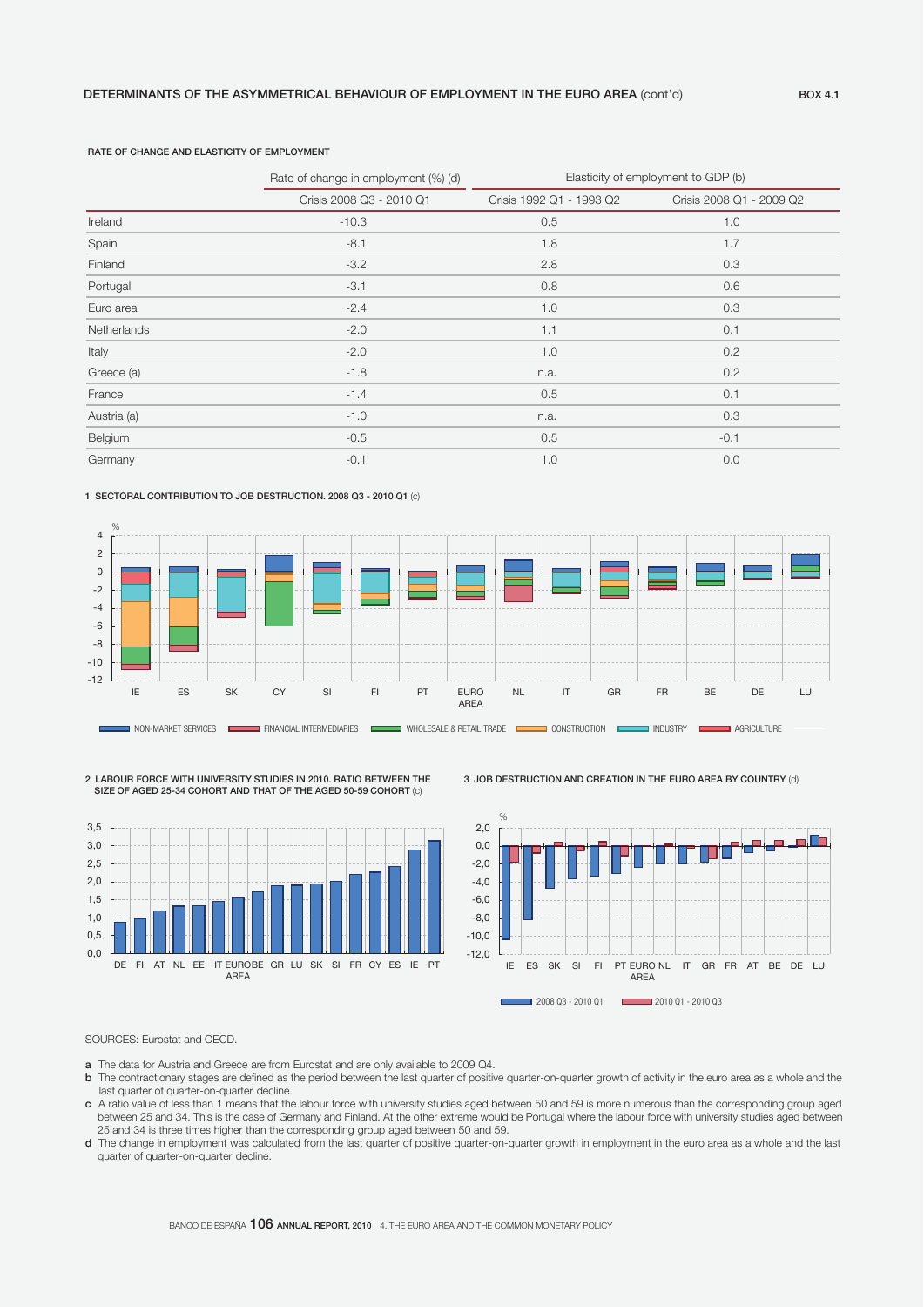### RATE OF CHANGE AND ELASTICITY OF EMPLOYMENT

|             | Rate of change in employment (%) (d) | Elasticity of employment to GDP (b) |                          |  |  |  |
|-------------|--------------------------------------|-------------------------------------|--------------------------|--|--|--|
|             | Crisis 2008 Q3 - 2010 Q1             | Crisis 1992 Q1 - 1993 Q2            | Crisis 2008 Q1 - 2009 Q2 |  |  |  |
| Ireland     | $-10.3$                              | 0.5                                 | 1.0                      |  |  |  |
| Spain       | $-8.1$                               | 1.8                                 | 1.7                      |  |  |  |
| Finland     | $-3.2$                               | 2.8                                 | 0.3                      |  |  |  |
| Portugal    | $-3.1$                               | 0.8                                 | 0.6                      |  |  |  |
| Euro area   | $-2.4$                               | 1.0                                 | 0.3                      |  |  |  |
| Netherlands | $-2.0$                               | 1.1                                 | 0.1                      |  |  |  |
| Italy       | $-2.0$                               | 1.0                                 | 0.2                      |  |  |  |
| Greece (a)  | $-1.8$                               | n.a.                                | 0.2                      |  |  |  |
| France      | $-1.4$                               | 0.5                                 | 0.1                      |  |  |  |
| Austria (a) | $-1.0$                               | n.a.                                | 0.3                      |  |  |  |
| Belgium     | $-0.5$                               | 0.5                                 | $-0.1$                   |  |  |  |
| Germany     | $-0.1$                               | 1.0                                 | 0.0                      |  |  |  |

#### 1 SECTORAL CONTRIBUTION TO JOB DESTRUCTION. 2008 Q3 - 2010 Q1 (c)



2 LABOUR FORCE WITH UNIVERSITY STUDIES IN 2010. RATIO BETWEEN THE SIZE OF AGED 25-34 COHORT AND THAT OF THE AGED 50-59 COHORT (c)



3 JOB DESTRUCTION AND CREATION IN THE EURO AREA BY COUNTRY (d)



### SOURCES: Eurostat and OECD.

- a The data for Austria and Greece are from Eurostat and are only available to 2009 Q4.
- b The contractionary stages are defined as the period between the last quarter of positive quarter-on-quarter growth of activity in the euro area as a whole and the last quarter of quarter-on-quarter decline.
- $\bm{c}$  A ratio value of less than 1 means that the labour force with university studies aged between 50 and 59 is more numerous than the corresponding group aged between 25 and 34. This is the case of Germany and Finland. At the other extreme would be Portugal where the labour force with university studies aged between 25 and 34 is three times higher than the corresponding group aged between 50 and 59.
- d The change in employment was calculated from the last quarter of positive quarter-on-quarter growth in employment in the euro area as a whole and the last quarter of quarter-on-quarter decline.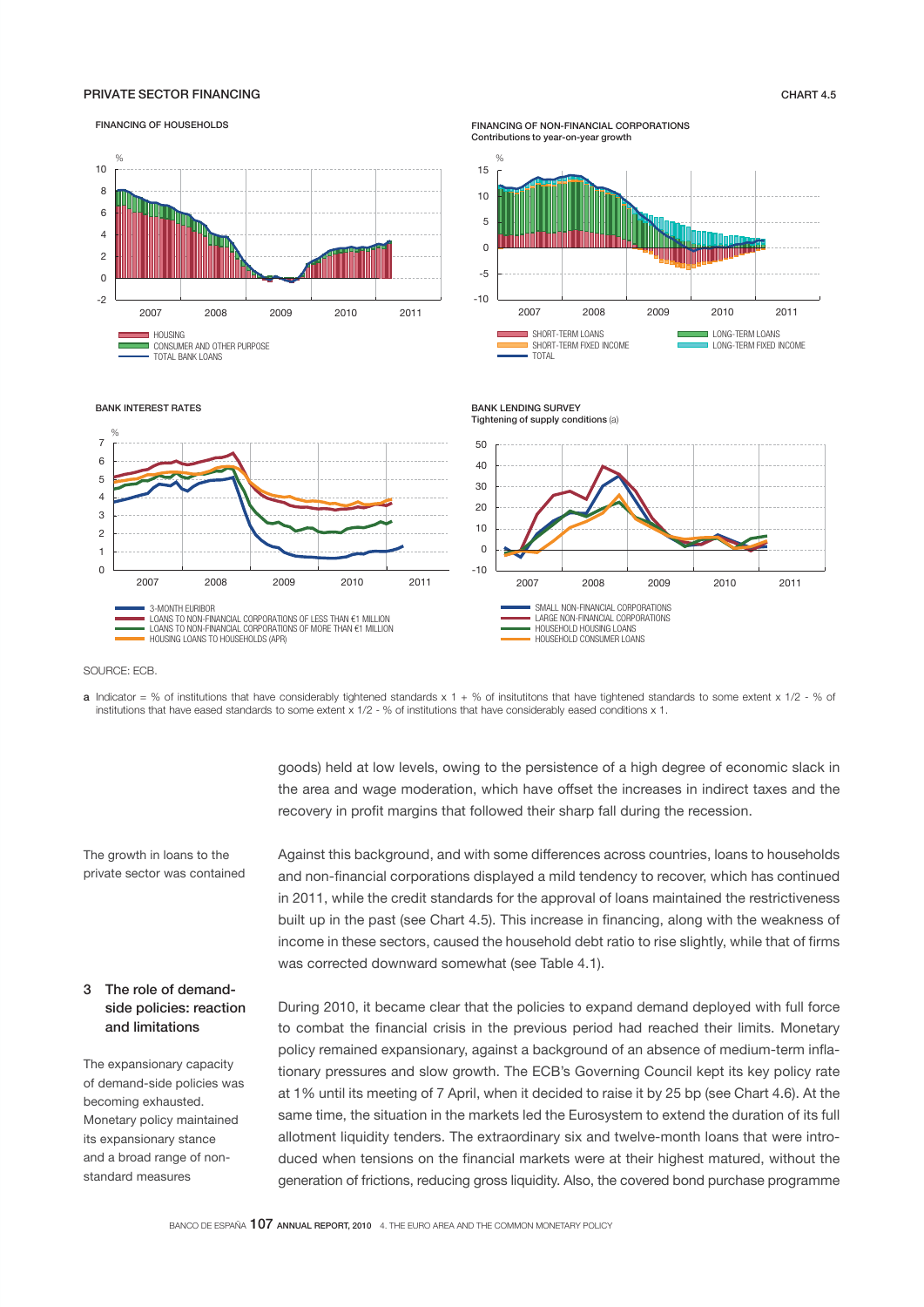### PRIVATE SECTOR FINANCING CHART 4.5



**a** Indicator = % of institutions that have considerably tightened standards x 1 + % of insitutitons that have tightened standards to some extent x 1/2 - % of

institutions that have eased standards to some extent x 1/2 - % of institutions that have considerably eased conditions x 1.

#### FINANCING OF HOUSEHOLDS

#### FINANCING OF NON-FINANCIAL CORPORATIONS Contributions to year-on-year growth

The growth in loans to the private sector was contained

SOURCE: ECB.

## 3 The role of demandside policies: reaction and limitations

The expansionary capacity of demand-side policies was becoming exhausted. Monetary policy maintained its expansionary stance and a broad range of nonstandard measures

goods) held at low levels, owing to the persistence of a high degree of economic slack in the area and wage moderation, which have offset the increases in indirect taxes and the recovery in profit margins that followed their sharp fall during the recession.

Against this background, and with some differences across countries, loans to households and non-financial corporations displayed a mild tendency to recover, which has continued in 2011, while the credit standards for the approval of loans maintained the restrictiveness built up in the past (see Chart 4.5). This increase in financing, along with the weakness of income in these sectors, caused the household debt ratio to rise slightly, while that of firms was corrected downward somewhat (see Table 4.1).

During 2010, it became clear that the policies to expand demand deployed with full force to combat the financial crisis in the previous period had reached their limits. Monetary policy remained expansionary, against a background of an absence of medium-term inflationary pressures and slow growth. The ECB's Governing Council kept its key policy rate at 1% until its meeting of 7 April, when it decided to raise it by 25 bp (see Chart 4.6). At the same time, the situation in the markets led the Eurosystem to extend the duration of its full allotment liquidity tenders. The extraordinary six and twelve-month loans that were introduced when tensions on the financial markets were at their highest matured, without the generation of frictions, reducing gross liquidity. Also, the covered bond purchase programme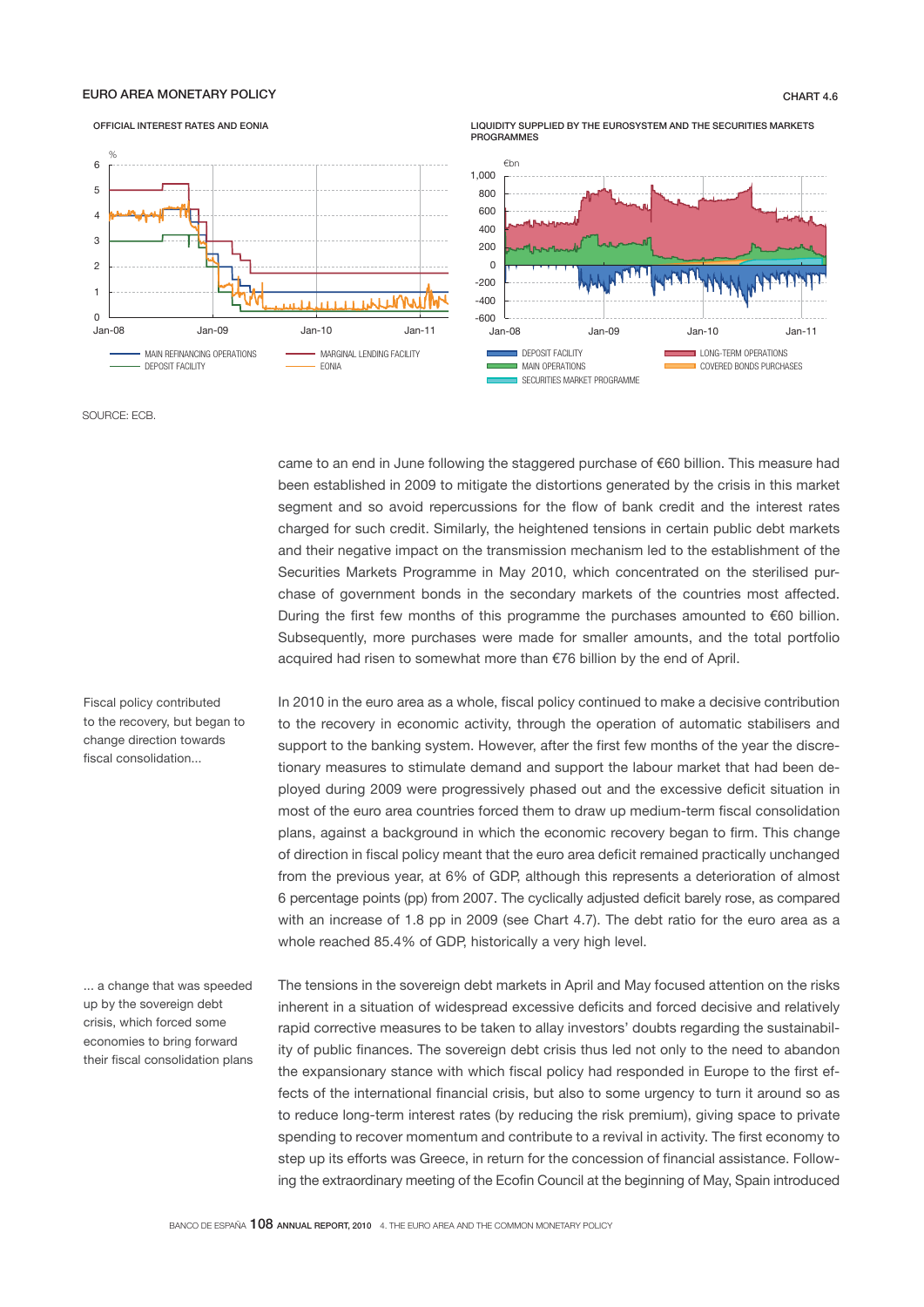# OFFICIAL INTEREST RATES AND EONIA EURO AREA MONETARY POLICY CHART 4.6



LIQUIDITY SUPPLIED BY THE EUROSYSTEM AND THE SECURITIES MARKETS **PROGRAMMES** 



SOURCE: ECB.

came to an end in June following the staggered purchase of €60 billion. This measure had been established in 2009 to mitigate the distortions generated by the crisis in this market segment and so avoid repercussions for the flow of bank credit and the interest rates charged for such credit. Similarly, the heightened tensions in certain public debt markets and their negative impact on the transmission mechanism led to the establishment of the Securities Markets Programme in May 2010, which concentrated on the sterilised purchase of government bonds in the secondary markets of the countries most affected. During the first few months of this programme the purchases amounted to €60 billion. Subsequently, more purchases were made for smaller amounts, and the total portfolio acquired had risen to somewhat more than €76 billion by the end of April.

Fiscal policy contributed to the recovery, but began to change direction towards fiscal consolidation...

... a change that was speeded up by the sovereign debt crisis, which forced some economies to bring forward their fiscal consolidation plans In 2010 in the euro area as a whole, fiscal policy continued to make a decisive contribution to the recovery in economic activity, through the operation of automatic stabilisers and support to the banking system. However, after the first few months of the year the discretionary measures to stimulate demand and support the labour market that had been deployed during 2009 were progressively phased out and the excessive deficit situation in most of the euro area countries forced them to draw up medium-term fiscal consolidation plans, against a background in which the economic recovery began to firm. This change of direction in fiscal policy meant that the euro area deficit remained practically unchanged from the previous year, at 6% of GDP, although this represents a deterioration of almost 6 percentage points (pp) from 2007. The cyclically adjusted deficit barely rose, as compared with an increase of 1.8 pp in 2009 (see Chart 4.7). The debt ratio for the euro area as a whole reached 85.4% of GDP, historically a very high level.

The tensions in the sovereign debt markets in April and May focused attention on the risks inherent in a situation of widespread excessive deficits and forced decisive and relatively rapid corrective measures to be taken to allay investors' doubts regarding the sustainability of public finances. The sovereign debt crisis thus led not only to the need to abandon the expansionary stance with which fiscal policy had responded in Europe to the first effects of the international financial crisis, but also to some urgency to turn it around so as to reduce long-term interest rates (by reducing the risk premium), giving space to private spending to recover momentum and contribute to a revival in activity. The first economy to step up its efforts was Greece, in return for the concession of financial assistance. Following the extraordinary meeting of the Ecofin Council at the beginning of May, Spain introduced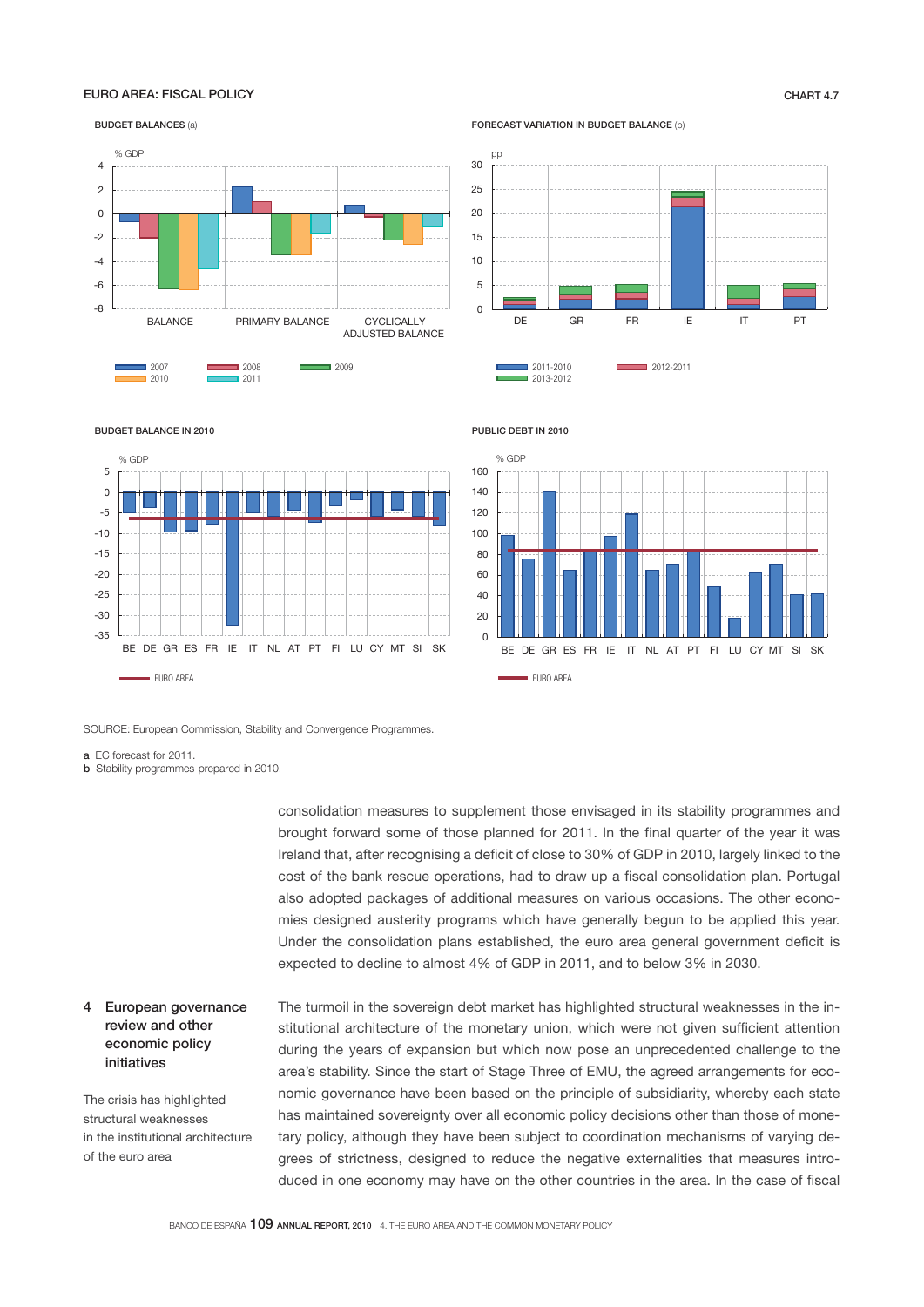## EURO AREA: FISCAL POLICY CHART 4.7

BUDGET BALANCES (a)



FORECAST VARIATION IN BUDGET BALANCE (b)



#### BUDGET BALANCE IN 2010







SOURCE: European Commission, Stability and Convergence Programmes.

a EC forecast for 2011.

**b** Stability programmes prepared in 2010.

consolidation measures to supplement those envisaged in its stability programmes and brought forward some of those planned for 2011. In the final quarter of the year it was Ireland that, after recognising a deficit of close to 30% of GDP in 2010, largely linked to the cost of the bank rescue operations, had to draw up a fiscal consolidation plan. Portugal also adopted packages of additional measures on various occasions. The other economies designed austerity programs which have generally begun to be applied this year. Under the consolidation plans established, the euro area general government deficit is expected to decline to almost 4% of GDP in 2011, and to below 3% in 2030.

4 European governance review and other economic policy initiatives

The crisis has highlighted structural weaknesses in the institutional architecture of the euro area

The turmoil in the sovereign debt market has highlighted structural weaknesses in the institutional architecture of the monetary union, which were not given sufficient attention during the years of expansion but which now pose an unprecedented challenge to the area's stability. Since the start of Stage Three of EMU, the agreed arrangements for economic governance have been based on the principle of subsidiarity, whereby each state has maintained sovereignty over all economic policy decisions other than those of monetary policy, although they have been subject to coordination mechanisms of varying degrees of strictness, designed to reduce the negative externalities that measures introduced in one economy may have on the other countries in the area. In the case of fiscal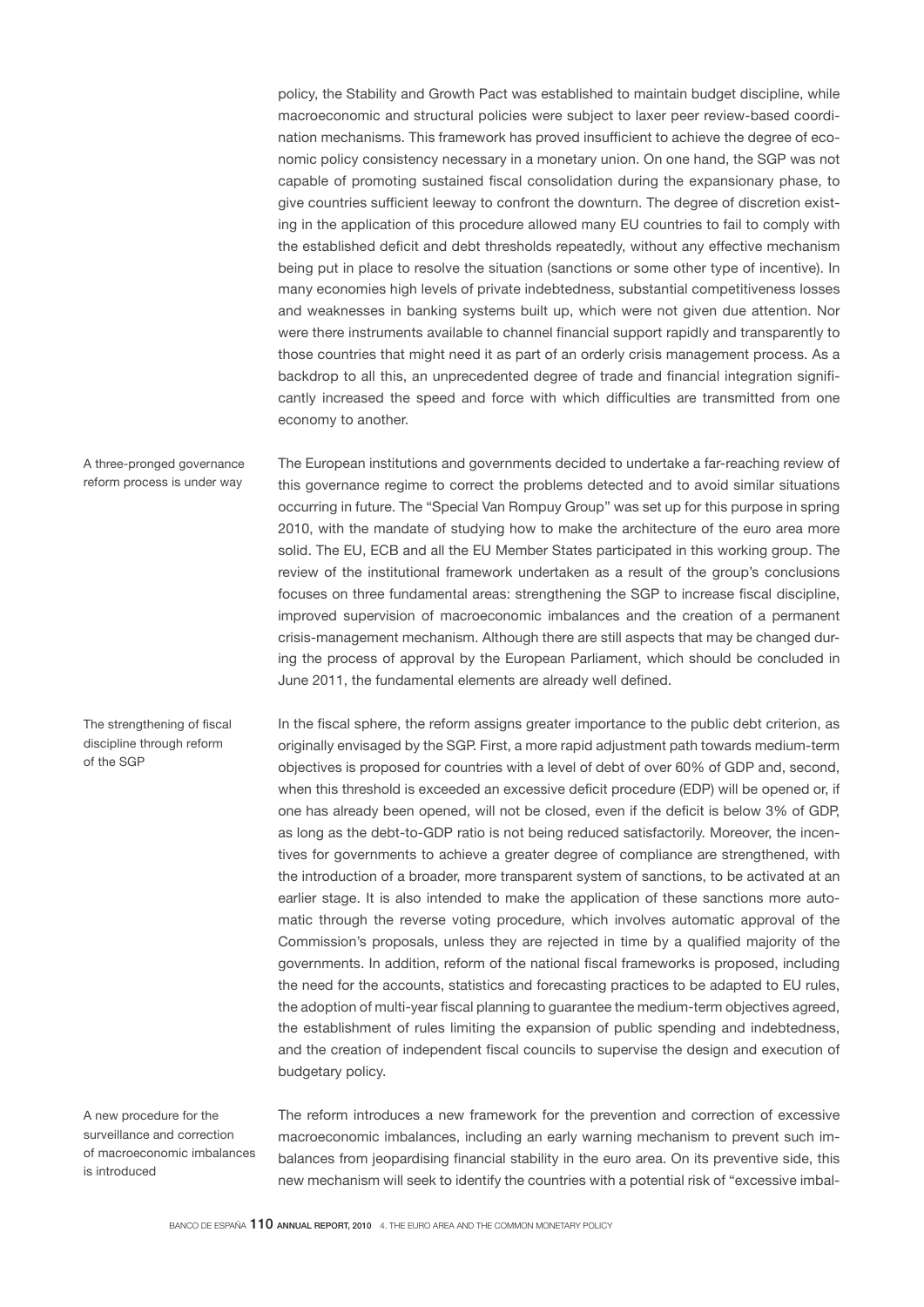policy, the Stability and Growth Pact was established to maintain budget discipline, while macroeconomic and structural policies were subject to laxer peer review-based coordination mechanisms. This framework has proved insufficient to achieve the degree of economic policy consistency necessary in a monetary union. On one hand, the SGP was not capable of promoting sustained fiscal consolidation during the expansionary phase, to give countries sufficient leeway to confront the downturn. The degree of discretion existing in the application of this procedure allowed many EU countries to fail to comply with the established deficit and debt thresholds repeatedly, without any effective mechanism being put in place to resolve the situation (sanctions or some other type of incentive). In many economies high levels of private indebtedness, substantial competitiveness losses and weaknesses in banking systems built up, which were not given due attention. Nor were there instruments available to channel financial support rapidly and transparently to those countries that might need it as part of an orderly crisis management process. As a backdrop to all this, an unprecedented degree of trade and financial integration significantly increased the speed and force with which difficulties are transmitted from one economy to another.

The European institutions and governments decided to undertake a far-reaching review of this governance regime to correct the problems detected and to avoid similar situations occurring in future. The "Special Van Rompuy Group" was set up for this purpose in spring 2010, with the mandate of studying how to make the architecture of the euro area more solid. The EU, ECB and all the EU Member States participated in this working group. The review of the institutional framework undertaken as a result of the group's conclusions focuses on three fundamental areas: strengthening the SGP to increase fiscal discipline, improved supervision of macroeconomic imbalances and the creation of a permanent crisis-management mechanism. Although there are still aspects that may be changed during the process of approval by the European Parliament, which should be concluded in June 2011, the fundamental elements are already well defined. A three-pronged governance reform process is under way

The strengthening of fiscal discipline through reform of the SGP

In the fiscal sphere, the reform assigns greater importance to the public debt criterion, as originally envisaged by the SGP. First, a more rapid adjustment path towards medium-term objectives is proposed for countries with a level of debt of over 60% of GDP and, second, when this threshold is exceeded an excessive deficit procedure (EDP) will be opened or, if one has already been opened, will not be closed, even if the deficit is below 3% of GDP, as long as the debt-to-GDP ratio is not being reduced satisfactorily. Moreover, the incentives for governments to achieve a greater degree of compliance are strengthened, with the introduction of a broader, more transparent system of sanctions, to be activated at an earlier stage. It is also intended to make the application of these sanctions more automatic through the reverse voting procedure, which involves automatic approval of the Commission's proposals, unless they are rejected in time by a qualified majority of the governments. In addition, reform of the national fiscal frameworks is proposed, including the need for the accounts, statistics and forecasting practices to be adapted to EU rules, the adoption of multi-year fiscal planning to guarantee the medium-term objectives agreed, the establishment of rules limiting the expansion of public spending and indebtedness, and the creation of independent fiscal councils to supervise the design and execution of budgetary policy.

A new procedure for the surveillance and correction of macroeconomic imbalances is introduced

The reform introduces a new framework for the prevention and correction of excessive macroeconomic imbalances, including an early warning mechanism to prevent such imbalances from jeopardising financial stability in the euro area. On its preventive side, this new mechanism will seek to identify the countries with a potential risk of "excessive imbal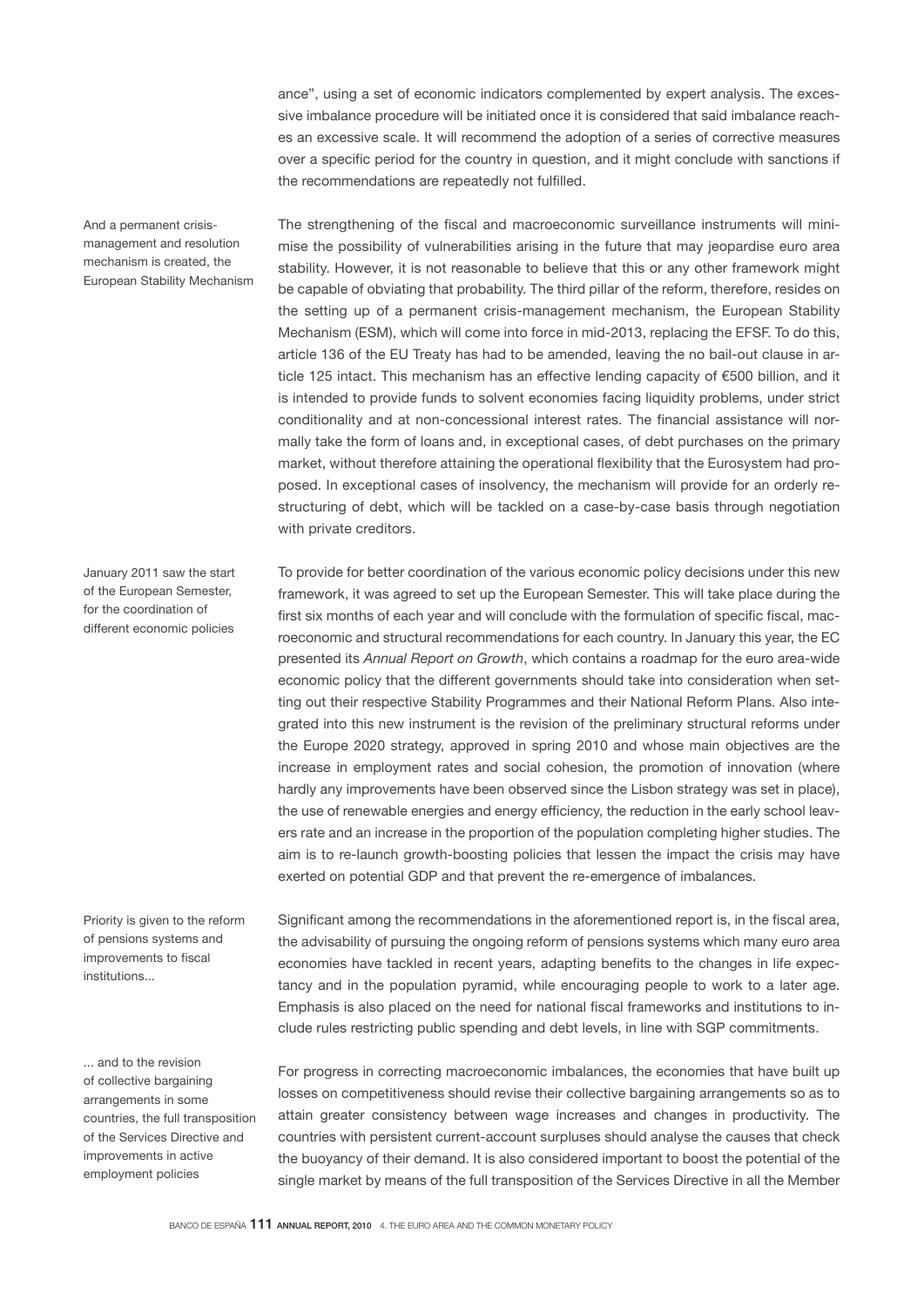ance", using a set of economic indicators complemented by expert analysis. The excessive imbalance procedure will be initiated once it is considered that said imbalance reaches an excessive scale. It will recommend the adoption of a series of corrective measures over a specific period for the country in question, and it might conclude with sanctions if the recommendations are repeatedly not fulfilled.

The strengthening of the fiscal and macroeconomic surveillance instruments will minimise the possibility of vulnerabilities arising in the future that may jeopardise euro area stability. However, it is not reasonable to believe that this or any other framework might be capable of obviating that probability. The third pillar of the reform, therefore, resides on the setting up of a permanent crisis-management mechanism, the European Stability Mechanism (ESM), which will come into force in mid-2013, replacing the EFSF. To do this, article 136 of the EU Treaty has had to be amended, leaving the no bail-out clause in article 125 intact. This mechanism has an effective lending capacity of €500 billion, and it is intended to provide funds to solvent economies facing liquidity problems, under strict conditionality and at non-concessional interest rates. The financial assistance will normally take the form of loans and, in exceptional cases, of debt purchases on the primary market, without therefore attaining the operational flexibility that the Eurosystem had proposed. In exceptional cases of insolvency, the mechanism will provide for an orderly restructuring of debt, which will be tackled on a case-by-case basis through negotiation with private creditors.

To provide for better coordination of the various economic policy decisions under this new framework, it was agreed to set up the European Semester. This will take place during the first six months of each year and will conclude with the formulation of specific fiscal, macroeconomic and structural recommendations for each country. In January this year, the EC presented its *Annual Report on Growth*, which contains a roadmap for the euro area-wide economic policy that the different governments should take into consideration when setting out their respective Stability Programmes and their National Reform Plans. Also integrated into this new instrument is the revision of the preliminary structural reforms under the Europe 2020 strategy, approved in spring 2010 and whose main objectives are the increase in employment rates and social cohesion, the promotion of innovation (where hardly any improvements have been observed since the Lisbon strategy was set in place), the use of renewable energies and energy efficiency, the reduction in the early school leavers rate and an increase in the proportion of the population completing higher studies. The aim is to re-launch growth-boosting policies that lessen the impact the crisis may have exerted on potential GDP and that prevent the re-emergence of imbalances.

Significant among the recommendations in the aforementioned report is, in the fiscal area, the advisability of pursuing the ongoing reform of pensions systems which many euro area economies have tackled in recent years, adapting benefits to the changes in life expectancy and in the population pyramid, while encouraging people to work to a later age. Emphasis is also placed on the need for national fiscal frameworks and institutions to include rules restricting public spending and debt levels, in line with SGP commitments.

For progress in correcting macroeconomic imbalances, the economies that have built up losses on competitiveness should revise their collective bargaining arrangements so as to attain greater consistency between wage increases and changes in productivity. The countries with persistent current-account surpluses should analyse the causes that check the buoyancy of their demand. It is also considered important to boost the potential of the single market by means of the full transposition of the Services Directive in all the Member

And a permanent crisismanagement and resolution mechanism is created, the European Stability Mechanism

January 2011 saw the start of the European Semester, for the coordination of different economic policies

Priority is given to the reform of pensions systems and improvements to fiscal institutions...

... and to the revision of collective bargaining arrangements in some countries, the full transposition of the Services Directive and improvements in active employment policies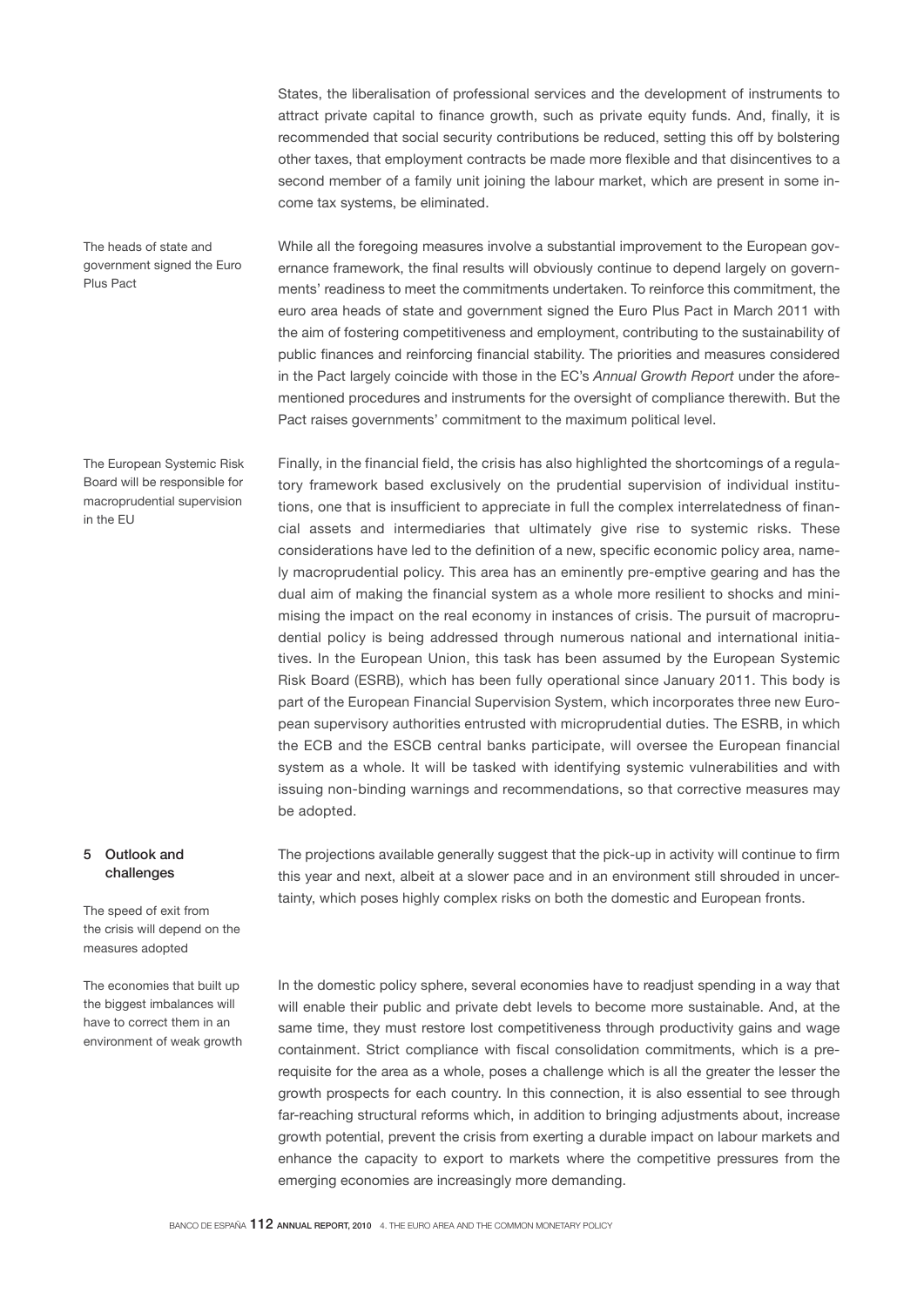States, the liberalisation of professional services and the development of instruments to attract private capital to finance growth, such as private equity funds. And, finally, it is recommended that social security contributions be reduced, setting this off by bolstering other taxes, that employment contracts be made more flexible and that disincentives to a second member of a family unit joining the labour market, which are present in some income tax systems, be eliminated.

The heads of state and government signed the Euro Plus Pact

The European Systemic Risk Board will be responsible for macroprudential supervision in the EU

While all the foregoing measures involve a substantial improvement to the European governance framework, the final results will obviously continue to depend largely on governments' readiness to meet the commitments undertaken. To reinforce this commitment, the euro area heads of state and government signed the Euro Plus Pact in March 2011 with the aim of fostering competitiveness and employment, contributing to the sustainability of public finances and reinforcing financial stability. The priorities and measures considered in the Pact largely coincide with those in the EC's *Annual Growth Report* under the aforementioned procedures and instruments for the oversight of compliance therewith. But the Pact raises governments' commitment to the maximum political level.

Finally, in the financial field, the crisis has also highlighted the shortcomings of a regulatory framework based exclusively on the prudential supervision of individual institutions, one that is insufficient to appreciate in full the complex interrelatedness of financial assets and intermediaries that ultimately give rise to systemic risks. These considerations have led to the definition of a new, specific economic policy area, namely macroprudential policy. This area has an eminently pre-emptive gearing and has the dual aim of making the financial system as a whole more resilient to shocks and minimising the impact on the real economy in instances of crisis. The pursuit of macroprudential policy is being addressed through numerous national and international initiatives. In the European Union, this task has been assumed by the European Systemic Risk Board (ESRB), which has been fully operational since January 2011. This body is part of the European Financial Supervision System, which incorporates three new European supervisory authorities entrusted with microprudential duties. The ESRB, in which the ECB and the ESCB central banks participate, will oversee the European financial system as a whole. It will be tasked with identifying systemic vulnerabilities and with issuing non-binding warnings and recommendations, so that corrective measures may be adopted.

## 5 Outlook and challenges

The speed of exit from the crisis will depend on the measures adopted

The economies that built up the biggest imbalances will have to correct them in an environment of weak growth The projections available generally suggest that the pick-up in activity will continue to firm this year and next, albeit at a slower pace and in an environment still shrouded in uncertainty, which poses highly complex risks on both the domestic and European fronts.

In the domestic policy sphere, several economies have to readjust spending in a way that will enable their public and private debt levels to become more sustainable. And, at the same time, they must restore lost competitiveness through productivity gains and wage containment. Strict compliance with fiscal consolidation commitments, which is a prerequisite for the area as a whole, poses a challenge which is all the greater the lesser the growth prospects for each country. In this connection, it is also essential to see through far-reaching structural reforms which, in addition to bringing adjustments about, increase growth potential, prevent the crisis from exerting a durable impact on labour markets and enhance the capacity to export to markets where the competitive pressures from the emerging economies are increasingly more demanding.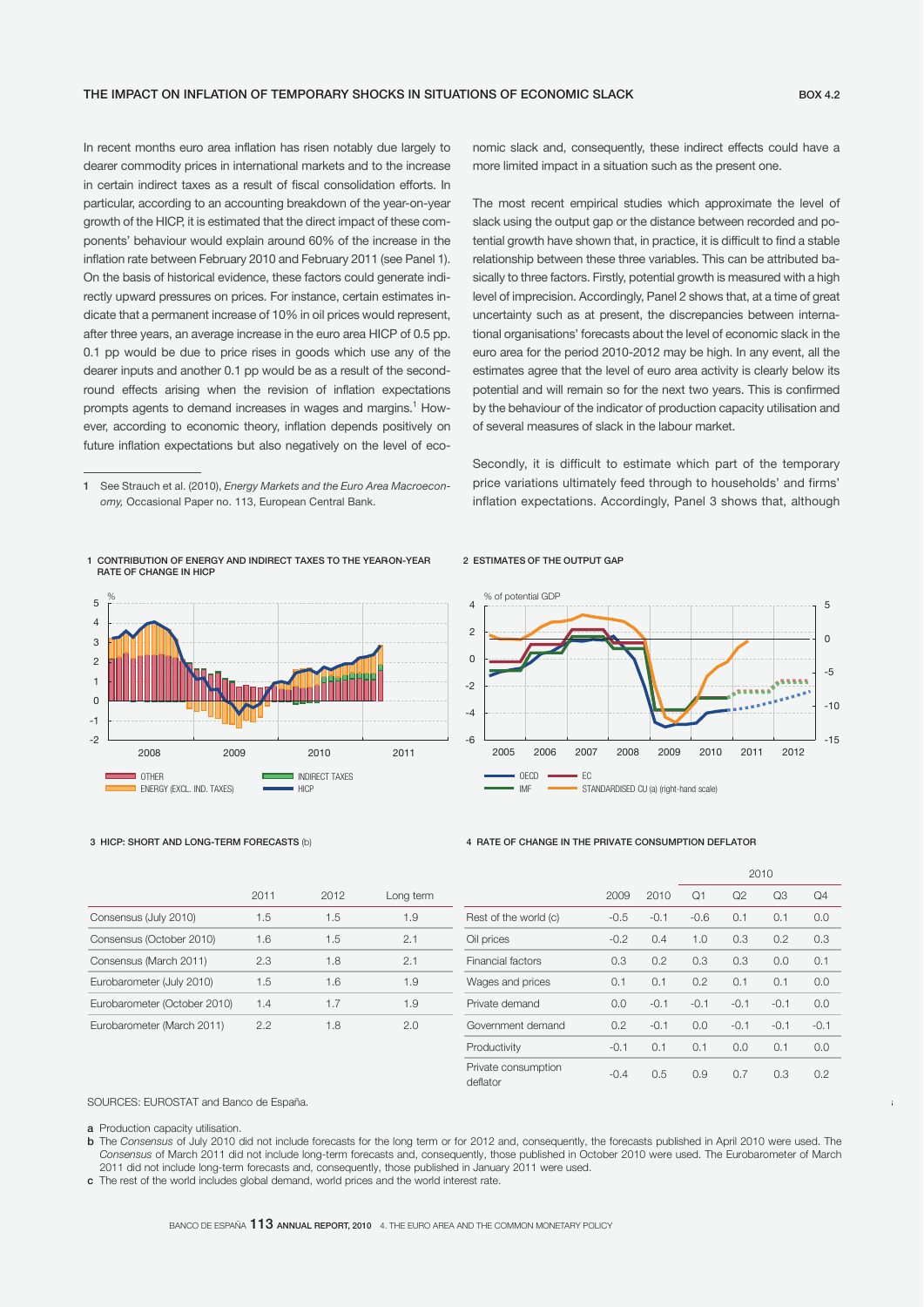In recent months euro area inflation has risen notably due largely to dearer commodity prices in international markets and to the increase in certain indirect taxes as a result of fiscal consolidation efforts. In particular, according to an accounting breakdown of the year-on-year growth of the HICP, it is estimated that the direct impact of these components' behaviour would explain around 60% of the increase in the inflation rate between February 2010 and February 2011 (see Panel 1). On the basis of historical evidence, these factors could generate indirectly upward pressures on prices. For instance, certain estimates indicate that a permanent increase of 10% in oil prices would represent, after three years, an average increase in the euro area HICP of 0.5 pp. 0.1 pp would be due to price rises in goods which use any of the dearer inputs and another 0.1 pp would be as a result of the secondround effects arising when the revision of inflation expectations prompts agents to demand increases in wages and margins.<sup>1</sup> However, according to economic theory, inflation depends positively on future inflation expectations but also negatively on the level of eco-

1 CONTRIBUTION OF ENERGY AND INDIRECT TAXES TO THE YEAR-ON-YEAR RATE OF CHANGE IN HICP



nomic slack and, consequently, these indirect effects could have a more limited impact in a situation such as the present one.

The most recent empirical studies which approximate the level of slack using the output gap or the distance between recorded and potential growth have shown that, in practice, it is difficult to find a stable relationship between these three variables. This can be attributed basically to three factors. Firstly, potential growth is measured with a high level of imprecision. Accordingly, Panel 2 shows that, at a time of great uncertainty such as at present, the discrepancies between international organisations' forecasts about the level of economic slack in the euro area for the period 2010-2012 may be high. In any event, all the estimates agree that the level of euro area activity is clearly below its potential and will remain so for the next two years. This is confirmed by the behaviour of the indicator of production capacity utilisation and of several measures of slack in the labour market.

Secondly, it is difficult to estimate which part of the temporary price variations ultimately feed through to households' and firms' inflation expectations. Accordingly, Panel 3 shows that, although

#### 2 ESTIMATES OF THE OUTPUT GAP



#### 3 HICP: SHORT AND LONG-TERM FORECASTS (b) 4 RATE OF CHANGE IN THE PRIVATE CONSUMPTION DEFLATOR

|                              | 2011 | 2012 | Long term |
|------------------------------|------|------|-----------|
| Consensus (July 2010)        | 1.5  | 1.5  | 1.9       |
| Consensus (October 2010)     | 1.6  | 1.5  | 2.1       |
| Consensus (March 2011)       | 2.3  | 1.8  | 2.1       |
| Eurobarometer (July 2010)    | 1.5  | 1.6  | 1.9       |
| Eurobarometer (October 2010) | 14   | 17   | 1.9       |
| Eurobarometer (March 2011)   | 22   | 1.8  | 2 O       |

|                              |      |      |           |                                 |        |        | 2010   |        |                |        |
|------------------------------|------|------|-----------|---------------------------------|--------|--------|--------|--------|----------------|--------|
|                              | 2011 | 2012 | Long term |                                 | 2009   | 2010   | Q1     | Q2     | Q <sub>3</sub> | Q4     |
| Consensus (July 2010)        | 1.5  | 1.5  | 1.9       | Rest of the world (c)           | $-0.5$ | $-0.1$ | $-0.6$ | 0.1    | 0.1            | 0.0    |
| Consensus (October 2010)     | 1.6  | 1.5  | 2.1       | Oil prices                      | $-0.2$ | 0.4    | 1.0    | 0.3    | 0.2            | 0.3    |
| Consensus (March 2011)       | 2.3  | 1.8  | 2.1       | <b>Financial factors</b>        | 0.3    | 0.2    | 0.3    | 0.3    | 0.0            | 0.1    |
| Eurobarometer (July 2010)    | 1.5  | 1.6  | 1.9       | Wages and prices                | 0.1    | 0.1    | 0.2    | 0.1    | 0.1            | 0.0    |
| Eurobarometer (October 2010) | 1.4  | 1.7  | 1.9       | Private demand                  | 0.0    | $-0.1$ | $-0.1$ | $-0.1$ | $-0.1$         | 0.0    |
| Eurobarometer (March 2011)   | 2.2  | 1.8  | 2.0       | Government demand               | 0.2    | $-0.1$ | 0.0    | $-0.1$ | $-0.1$         | $-0.1$ |
|                              |      |      |           | Productivity                    | $-0.1$ | 0.1    | 0.1    | 0.0    | 0.1            | 0.0    |
|                              |      |      |           | Private consumption<br>deflator | $-0.4$ | 0.5    | 0.9    | 0.7    | 0.3            | 0.2    |

a

SOURCES: EUROSTAT and Banco de España.

a Production capacity utilisation.

b The *Consensus* of July 2010 did not include forecasts for the long term or for 2012 and, consequently, the forecasts published in April 2010 were used. The *Consensus* of March 2011 did not include long-term forecasts and, consequently, those published in October 2010 were used. The Eurobarometer of March 2011 did not include long-term forecasts and, consequently, those published in January 2011 were used.

c The rest of the world includes global demand, world prices and the world interest rate.

<sup>1</sup> See Strauch et al. (2010), *Energy Markets and the Euro Area Macroeconomy,* Occasional Paper no. 113, European Central Bank.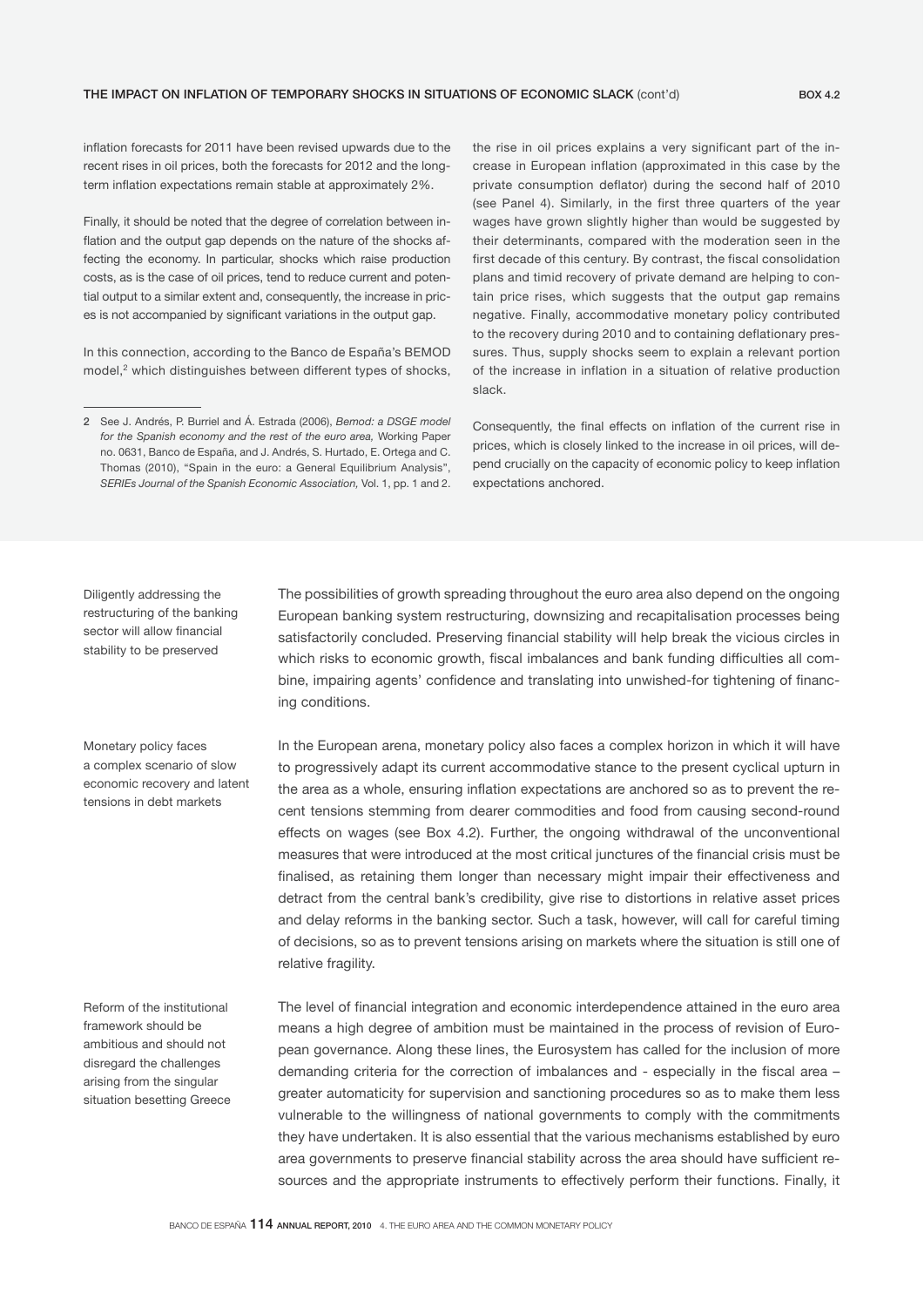inflation forecasts for 2011 have been revised upwards due to the recent rises in oil prices, both the forecasts for 2012 and the longterm inflation expectations remain stable at approximately 2%.

Finally, it should be noted that the degree of correlation between inflation and the output gap depends on the nature of the shocks affecting the economy. In particular, shocks which raise production costs, as is the case of oil prices, tend to reduce current and potential output to a similar extent and, consequently, the increase in prices is not accompanied by significant variations in the output gap.

In this connection, according to the Banco de España's BEMOD model,<sup>2</sup> which distinguishes between different types of shocks,

the rise in oil prices explains a very significant part of the increase in European inflation (approximated in this case by the private consumption deflator) during the second half of 2010 (see Panel 4). Similarly, in the first three quarters of the year wages have grown slightly higher than would be suggested by their determinants, compared with the moderation seen in the first decade of this century. By contrast, the fiscal consolidation plans and timid recovery of private demand are helping to contain price rises, which suggests that the output gap remains negative. Finally, accommodative monetary policy contributed to the recovery during 2010 and to containing deflationary pressures. Thus, supply shocks seem to explain a relevant portion of the increase in inflation in a situation of relative production slack.

Consequently, the final effects on inflation of the current rise in prices, which is closely linked to the increase in oil prices, will depend crucially on the capacity of economic policy to keep inflation expectations anchored.

Diligently addressing the restructuring of the banking sector will allow financial stability to be preserved

The possibilities of growth spreading throughout the euro area also depend on the ongoing European banking system restructuring, downsizing and recapitalisation processes being satisfactorily concluded. Preserving financial stability will help break the vicious circles in which risks to economic growth, fiscal imbalances and bank funding difficulties all combine, impairing agents' confidence and translating into unwished-for tightening of financing conditions.

Monetary policy faces a complex scenario of slow economic recovery and latent tensions in debt markets

Reform of the institutional framework should be ambitious and should not disregard the challenges arising from the singular situation besetting Greece In the European arena, monetary policy also faces a complex horizon in which it will have to progressively adapt its current accommodative stance to the present cyclical upturn in the area as a whole, ensuring inflation expectations are anchored so as to prevent the recent tensions stemming from dearer commodities and food from causing second-round effects on wages (see Box 4.2). Further, the ongoing withdrawal of the unconventional measures that were introduced at the most critical junctures of the financial crisis must be finalised, as retaining them longer than necessary might impair their effectiveness and detract from the central bank's credibility, give rise to distortions in relative asset prices and delay reforms in the banking sector. Such a task, however, will call for careful timing of decisions, so as to prevent tensions arising on markets where the situation is still one of relative fragility.

The level of financial integration and economic interdependence attained in the euro area means a high degree of ambition must be maintained in the process of revision of European governance. Along these lines, the Eurosystem has called for the inclusion of more demanding criteria for the correction of imbalances and - especially in the fiscal area – greater automaticity for supervision and sanctioning procedures so as to make them less vulnerable to the willingness of national governments to comply with the commitments they have undertaken. It is also essential that the various mechanisms established by euro area governments to preserve financial stability across the area should have sufficient resources and the appropriate instruments to effectively perform their functions. Finally, it

<sup>2</sup> See J. Andrés, P. Burriel and Á. Estrada (2006), *Bemod: a DSGE model for the Spanish economy and the rest of the euro area,* Working Paper no. 0631, Banco de España, and J. Andrés, S. Hurtado, E. Ortega and C. Thomas (2010), "Spain in the euro: a General Equilibrium Analysis", *SERIEs Journal of the Spanish Economic Association,* Vol. 1, pp. 1 and 2.